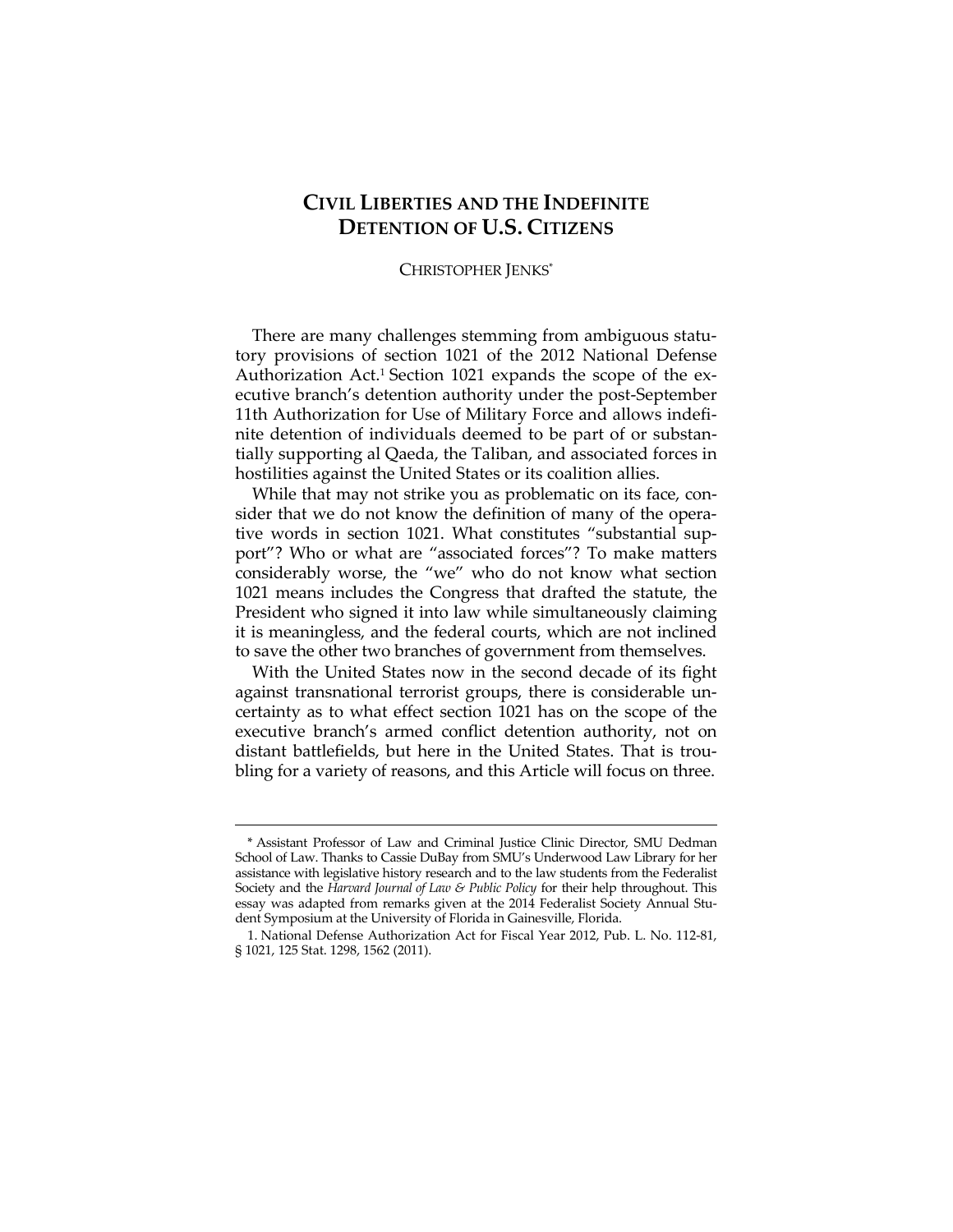# **CIVIL LIBERTIES AND THE INDEFINITE DETENTION OF U.S. CITIZENS**

#### CHRISTOPHER JENKS\*

There are many challenges stemming from ambiguous statutory provisions of section 1021 of the 2012 National Defense Authorization Act.1 Section 1021 expands the scope of the executive branch's detention authority under the post-September 11th Authorization for Use of Military Force and allows indefinite detention of individuals deemed to be part of or substantially supporting al Qaeda, the Taliban, and associated forces in hostilities against the United States or its coalition allies.

While that may not strike you as problematic on its face, consider that we do not know the definition of many of the operative words in section 1021. What constitutes "substantial support"? Who or what are "associated forces"? To make matters considerably worse, the "we" who do not know what section 1021 means includes the Congress that drafted the statute, the President who signed it into law while simultaneously claiming it is meaningless, and the federal courts, which are not inclined to save the other two branches of government from themselves.

With the United States now in the second decade of its fight against transnational terrorist groups, there is considerable uncertainty as to what effect section 1021 has on the scope of the executive branch's armed conflict detention authority, not on distant battlefields, but here in the United States. That is troubling for a variety of reasons, and this Article will focus on three.

<sup>\*</sup> Assistant Professor of Law and Criminal Justice Clinic Director, SMU Dedman School of Law. Thanks to Cassie DuBay from SMU's Underwood Law Library for her assistance with legislative history research and to the law students from the Federalist Society and the *Harvard Journal of Law & Public Policy* for their help throughout. This essay was adapted from remarks given at the 2014 Federalist Society Annual Student Symposium at the University of Florida in Gainesville, Florida.

 <sup>1.</sup> National Defense Authorization Act for Fiscal Year 2012, Pub. L. No. 112-81, § 1021, 125 Stat. 1298, 1562 (2011).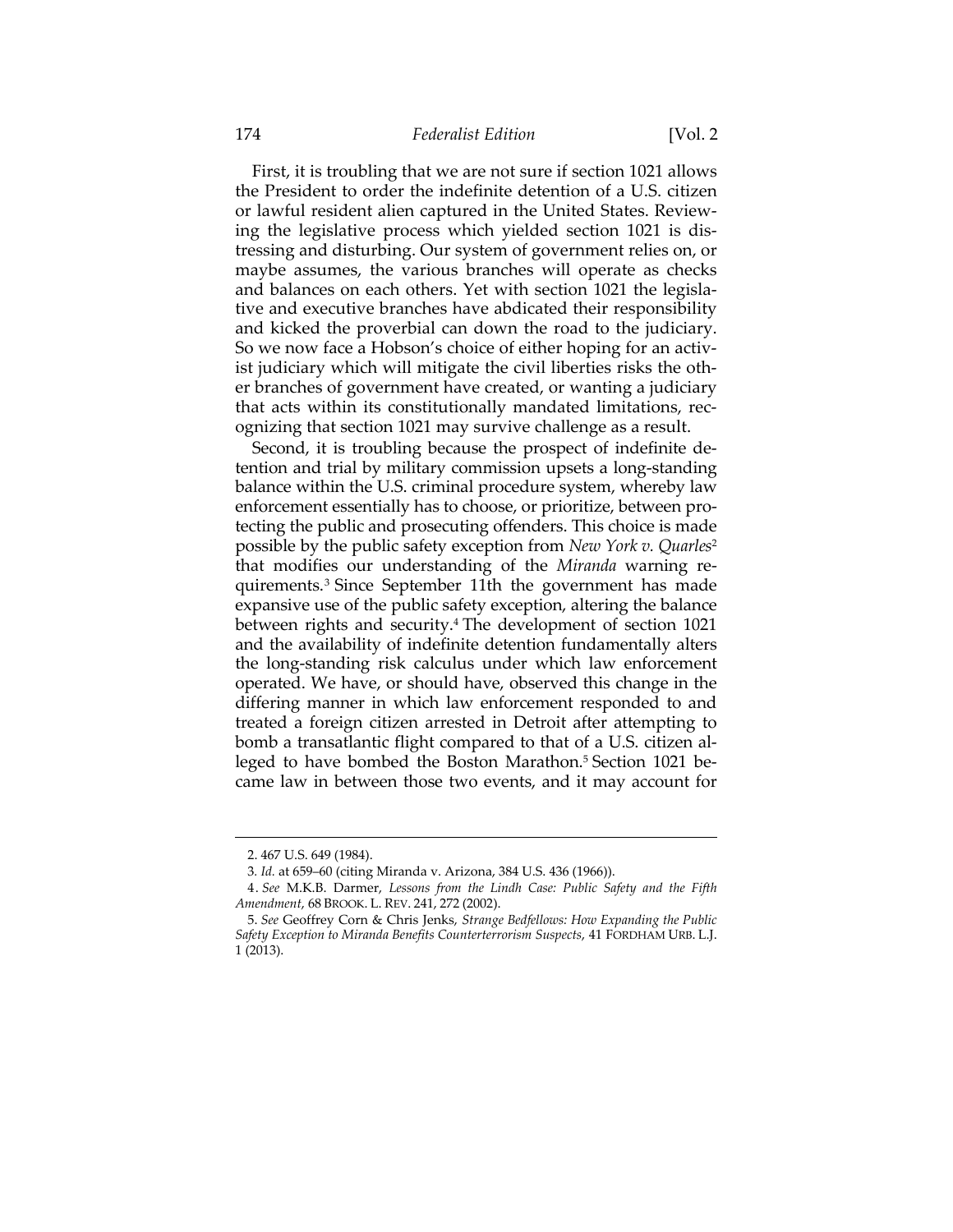#### 174 *Federalist Edition* [Vol. 2

First, it is troubling that we are not sure if section 1021 allows the President to order the indefinite detention of a U.S. citizen or lawful resident alien captured in the United States. Reviewing the legislative process which yielded section 1021 is distressing and disturbing. Our system of government relies on, or maybe assumes, the various branches will operate as checks and balances on each others. Yet with section 1021 the legislative and executive branches have abdicated their responsibility and kicked the proverbial can down the road to the judiciary. So we now face a Hobson's choice of either hoping for an activist judiciary which will mitigate the civil liberties risks the other branches of government have created, or wanting a judiciary that acts within its constitutionally mandated limitations, recognizing that section 1021 may survive challenge as a result.

Second, it is troubling because the prospect of indefinite detention and trial by military commission upsets a long-standing balance within the U.S. criminal procedure system, whereby law enforcement essentially has to choose, or prioritize, between protecting the public and prosecuting offenders. This choice is made possible by the public safety exception from *New York v. Quarles*<sup>2</sup> that modifies our understanding of the *Miranda* warning requirements.3 Since September 11th the government has made expansive use of the public safety exception, altering the balance between rights and security.<sup>4</sup> The development of section 1021 and the availability of indefinite detention fundamentally alters the long-standing risk calculus under which law enforcement operated. We have, or should have, observed this change in the differing manner in which law enforcement responded to and treated a foreign citizen arrested in Detroit after attempting to bomb a transatlantic flight compared to that of a U.S. citizen alleged to have bombed the Boston Marathon.5 Section 1021 became law in between those two events, and it may account for

<u> 1989 - Andrea Stadt Britain, amerikansk politik (</u>

 <sup>2. 467</sup> U.S. 649 (1984).

<sup>3</sup>*. Id.* at 659–60 (citing Miranda v. Arizona, 384 U.S. 436 (1966)).

 <sup>4.</sup> *See* M.K.B. Darmer, *Lessons from the Lindh Case: Public Safety and the Fifth Amendment*, 68 BROOK. L. REV. 241, 272 (2002).

 <sup>5.</sup> *See* Geoffrey Corn & Chris Jenks, *Strange Bedfellows: How Expanding the Public Safety Exception to Miranda Benefits Counterterrorism Suspects*, 41 FORDHAM URB. L.J. 1 (2013).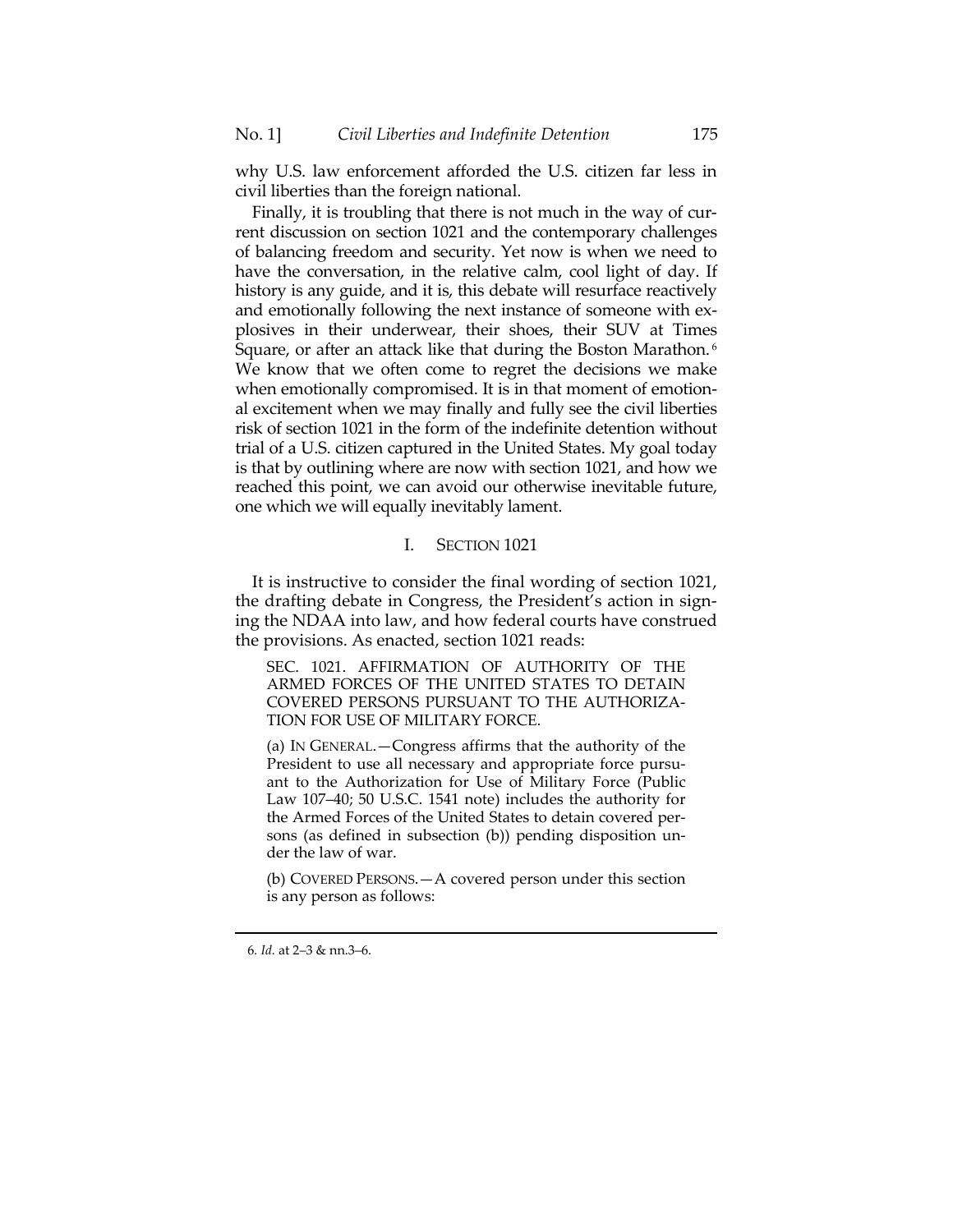why U.S. law enforcement afforded the U.S. citizen far less in civil liberties than the foreign national.

Finally, it is troubling that there is not much in the way of current discussion on section 1021 and the contemporary challenges of balancing freedom and security. Yet now is when we need to have the conversation, in the relative calm, cool light of day. If history is any guide, and it is, this debate will resurface reactively and emotionally following the next instance of someone with explosives in their underwear, their shoes, their SUV at Times Square, or after an attack like that during the Boston Marathon.<sup>6</sup> We know that we often come to regret the decisions we make when emotionally compromised. It is in that moment of emotional excitement when we may finally and fully see the civil liberties risk of section 1021 in the form of the indefinite detention without trial of a U.S. citizen captured in the United States. My goal today is that by outlining where are now with section 1021, and how we reached this point, we can avoid our otherwise inevitable future, one which we will equally inevitably lament.

## I. SECTION 1021

It is instructive to consider the final wording of section 1021, the drafting debate in Congress, the President's action in signing the NDAA into law, and how federal courts have construed the provisions. As enacted, section 1021 reads:

SEC. 1021. AFFIRMATION OF AUTHORITY OF THE ARMED FORCES OF THE UNITED STATES TO DETAIN COVERED PERSONS PURSUANT TO THE AUTHORIZA-TION FOR USE OF MILITARY FORCE.

(a) IN GENERAL.—Congress affirms that the authority of the President to use all necessary and appropriate force pursuant to the Authorization for Use of Military Force (Public Law 107–40; 50 U.S.C. 1541 note) includes the authority for the Armed Forces of the United States to detain covered persons (as defined in subsection (b)) pending disposition under the law of war.

(b) COVERED PERSONS.—A covered person under this section is any person as follows:

<u> 1989 - Andrea Stadt Britain, amerikansk politik (</u>

<sup>6</sup>*. Id.* at 2–3 & nn.3–6.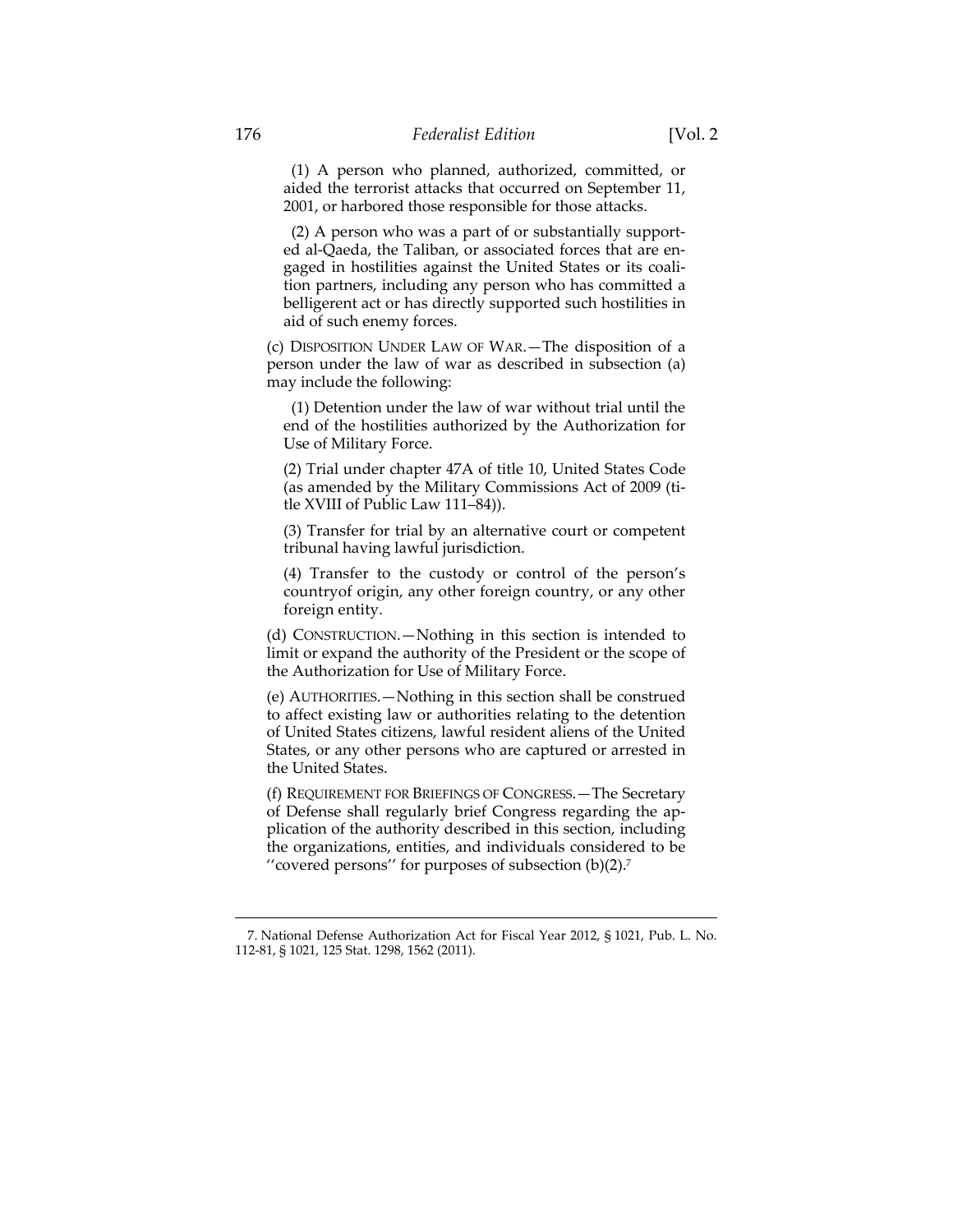(1) A person who planned, authorized, committed, or aided the terrorist attacks that occurred on September 11, 2001, or harbored those responsible for those attacks.

 (2) A person who was a part of or substantially supported al-Qaeda, the Taliban, or associated forces that are engaged in hostilities against the United States or its coalition partners, including any person who has committed a belligerent act or has directly supported such hostilities in aid of such enemy forces.

(c) DISPOSITION UNDER LAW OF WAR.—The disposition of a person under the law of war as described in subsection (a) may include the following:

 (1) Detention under the law of war without trial until the end of the hostilities authorized by the Authorization for Use of Military Force.

(2) Trial under chapter 47A of title 10, United States Code (as amended by the Military Commissions Act of 2009 (title XVIII of Public Law 111–84)).

(3) Transfer for trial by an alternative court or competent tribunal having lawful jurisdiction.

(4) Transfer to the custody or control of the person's countryof origin, any other foreign country, or any other foreign entity.

(d) CONSTRUCTION.—Nothing in this section is intended to limit or expand the authority of the President or the scope of the Authorization for Use of Military Force.

(e) AUTHORITIES.—Nothing in this section shall be construed to affect existing law or authorities relating to the detention of United States citizens, lawful resident aliens of the United States, or any other persons who are captured or arrested in the United States.

(f) REQUIREMENT FOR BRIEFINGS OF CONGRESS.—The Secretary of Defense shall regularly brief Congress regarding the application of the authority described in this section, including the organizations, entities, and individuals considered to be ''covered persons'' for purposes of subsection (b)(2).7

 7. National Defense Authorization Act for Fiscal Year 2012, § 1021, Pub. L. No. 112-81, § 1021, 125 Stat. 1298, 1562 (2011).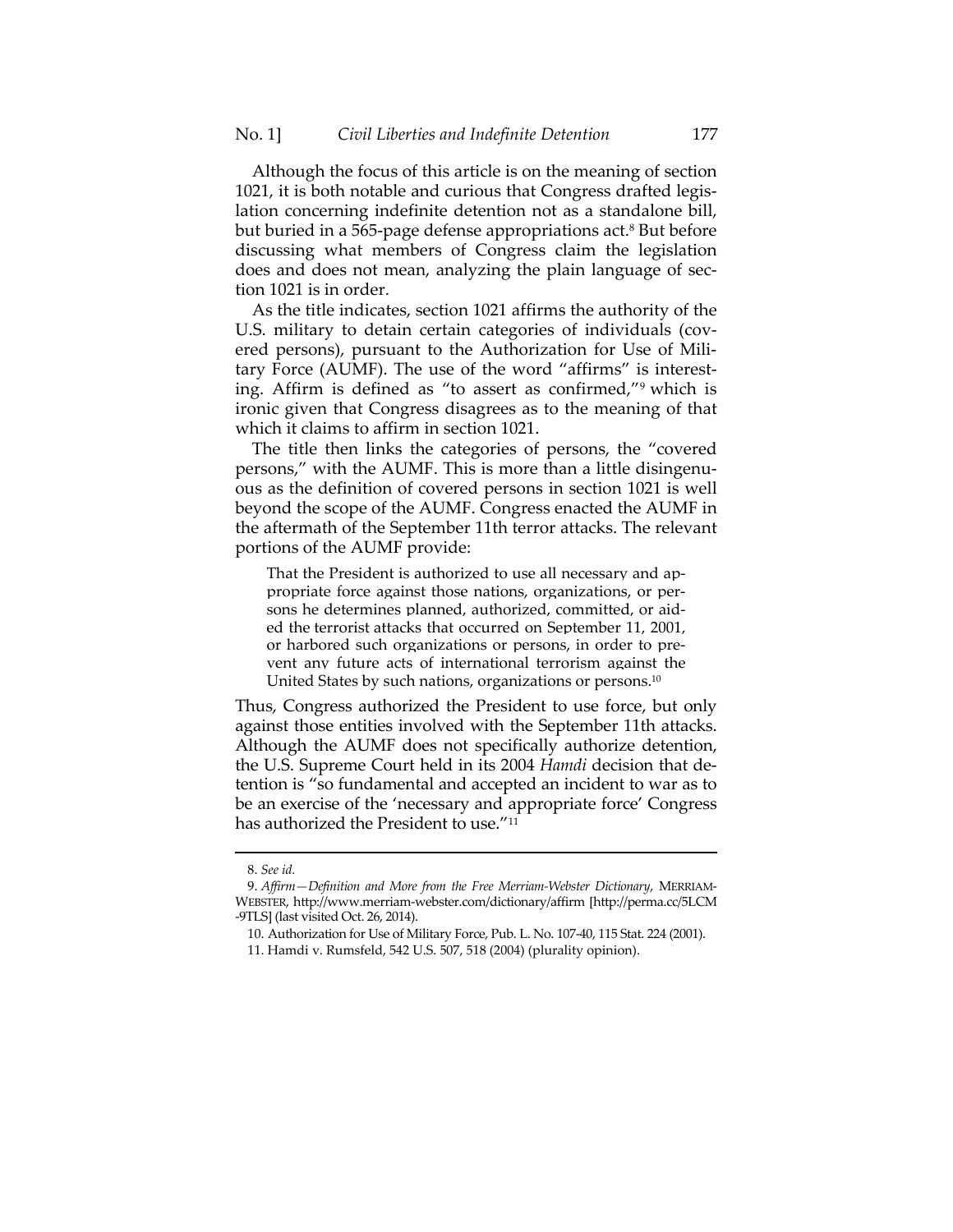Although the focus of this article is on the meaning of section 1021, it is both notable and curious that Congress drafted legislation concerning indefinite detention not as a standalone bill, but buried in a 565-page defense appropriations act.<sup>8</sup> But before discussing what members of Congress claim the legislation does and does not mean, analyzing the plain language of section 1021 is in order.

As the title indicates, section 1021 affirms the authority of the U.S. military to detain certain categories of individuals (covered persons), pursuant to the Authorization for Use of Military Force (AUMF). The use of the word "affirms" is interesting. Affirm is defined as "to assert as confirmed,"9 which is ironic given that Congress disagrees as to the meaning of that which it claims to affirm in section 1021.

The title then links the categories of persons, the "covered persons," with the AUMF. This is more than a little disingenuous as the definition of covered persons in section 1021 is well beyond the scope of the AUMF. Congress enacted the AUMF in the aftermath of the September 11th terror attacks. The relevant portions of the AUMF provide:

That the President is authorized to use all necessary and appropriate force against those nations, organizations, or persons he determines planned, authorized, committed, or aided the terrorist attacks that occurred on September 11, 2001, or harbored such organizations or persons, in order to prevent any future acts of international terrorism against the United States by such nations, organizations or persons.10

Thus, Congress authorized the President to use force, but only against those entities involved with the September 11th attacks. Although the AUMF does not specifically authorize detention, the U.S. Supreme Court held in its 2004 *Hamdi* decision that detention is "so fundamental and accepted an incident to war as to be an exercise of the 'necessary and appropriate force' Congress has authorized the President to use."11

 <sup>8.</sup> *See id.*

 <sup>9.</sup> *Affirm—Definition and More from the Free Merriam-Webster Dictionary*, MERRIAM-WEBSTER, http://www.merriam-webster.com/dictionary/affirm [http://perma.cc/5LCM -9TLS] (last visited Oct. 26, 2014).

 <sup>10.</sup> Authorization for Use of Military Force, Pub. L. No. 107-40, 115 Stat. 224 (2001).

 <sup>11.</sup> Hamdi v. Rumsfeld, 542 U.S. 507, 518 (2004) (plurality opinion).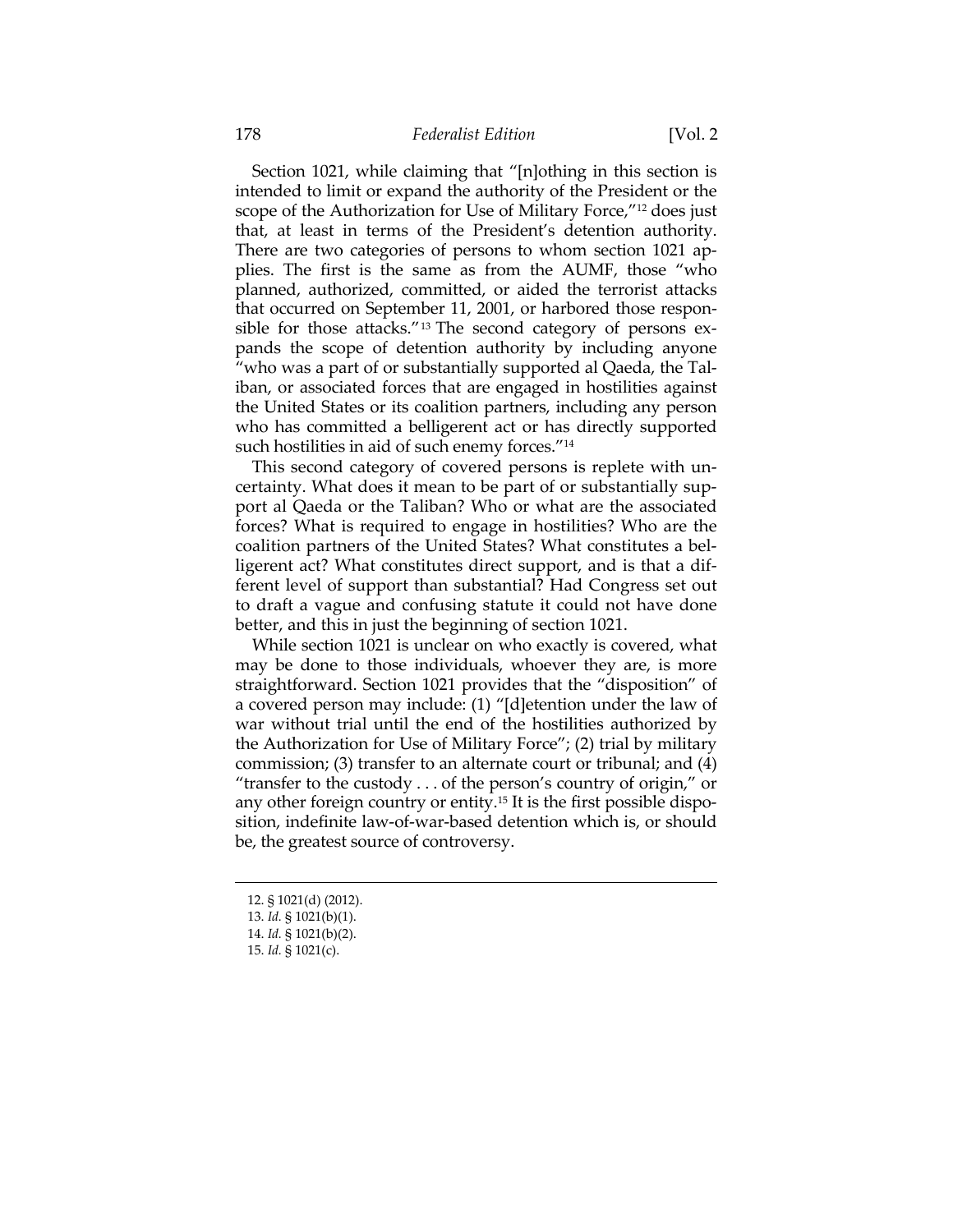Section 1021, while claiming that "[n]othing in this section is intended to limit or expand the authority of the President or the scope of the Authorization for Use of Military Force,"12 does just that, at least in terms of the President's detention authority. There are two categories of persons to whom section 1021 applies. The first is the same as from the AUMF, those "who planned, authorized, committed, or aided the terrorist attacks that occurred on September 11, 2001, or harbored those responsible for those attacks."13 The second category of persons expands the scope of detention authority by including anyone "who was a part of or substantially supported al Qaeda, the Taliban, or associated forces that are engaged in hostilities against the United States or its coalition partners, including any person who has committed a belligerent act or has directly supported such hostilities in aid of such enemy forces."14

This second category of covered persons is replete with uncertainty. What does it mean to be part of or substantially support al Qaeda or the Taliban? Who or what are the associated forces? What is required to engage in hostilities? Who are the coalition partners of the United States? What constitutes a belligerent act? What constitutes direct support, and is that a different level of support than substantial? Had Congress set out to draft a vague and confusing statute it could not have done better, and this in just the beginning of section 1021.

While section 1021 is unclear on who exactly is covered, what may be done to those individuals, whoever they are, is more straightforward. Section 1021 provides that the "disposition" of a covered person may include: (1) "[d]etention under the law of war without trial until the end of the hostilities authorized by the Authorization for Use of Military Force"; (2) trial by military commission; (3) transfer to an alternate court or tribunal; and (4) "transfer to the custody . . . of the person's country of origin," or any other foreign country or entity.15 It is the first possible disposition, indefinite law-of-war-based detention which is, or should be, the greatest source of controversy.

- 12. § 1021(d) (2012).
- 13. *Id.* § 1021(b)(1).

 <sup>14.</sup> *Id.* § 1021(b)(2).

 <sup>15.</sup> *Id.* § 1021(c).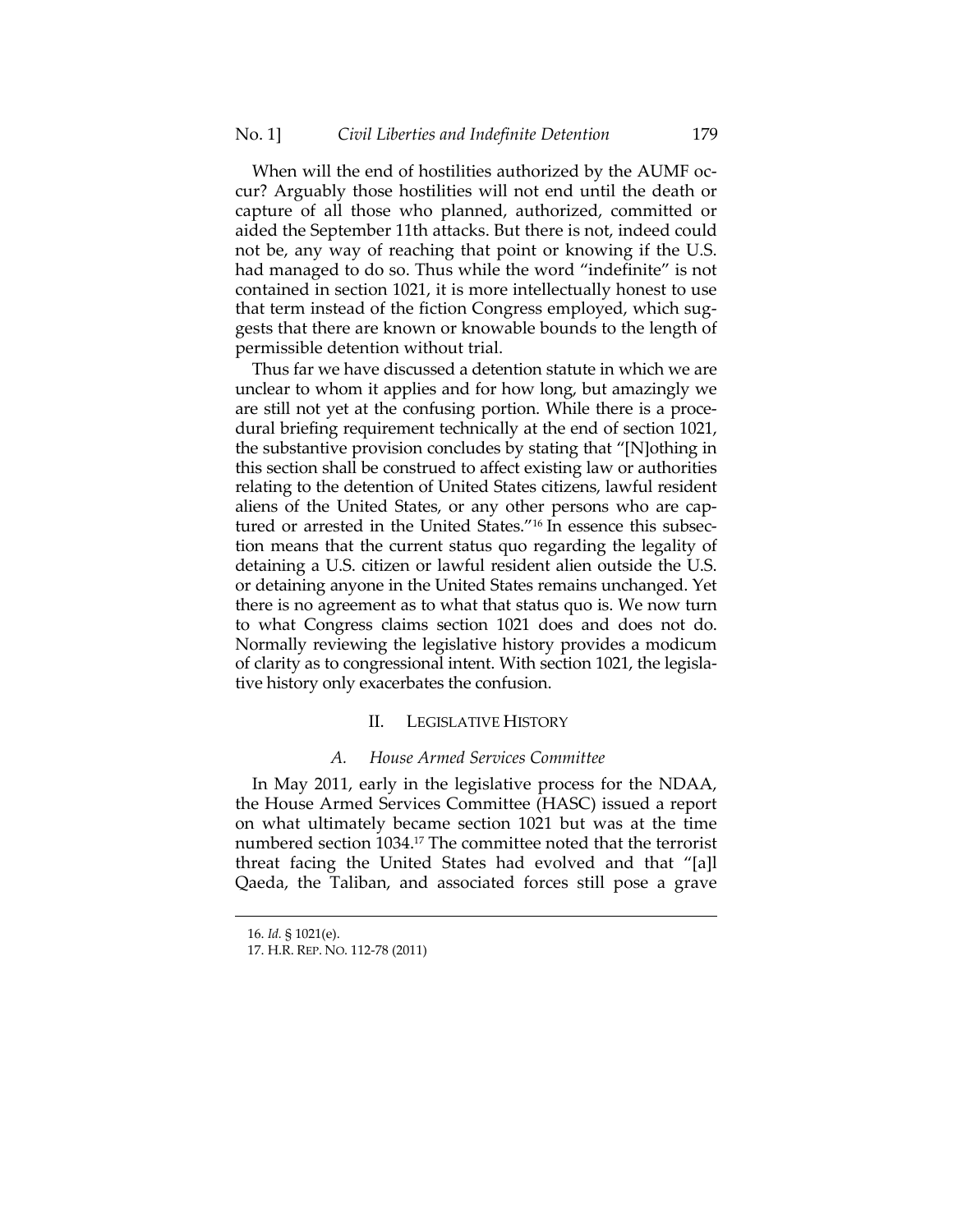When will the end of hostilities authorized by the AUMF occur? Arguably those hostilities will not end until the death or capture of all those who planned, authorized, committed or aided the September 11th attacks. But there is not, indeed could not be, any way of reaching that point or knowing if the U.S. had managed to do so. Thus while the word "indefinite" is not contained in section 1021, it is more intellectually honest to use that term instead of the fiction Congress employed, which suggests that there are known or knowable bounds to the length of permissible detention without trial.

Thus far we have discussed a detention statute in which we are unclear to whom it applies and for how long, but amazingly we are still not yet at the confusing portion. While there is a procedural briefing requirement technically at the end of section 1021, the substantive provision concludes by stating that "[N]othing in this section shall be construed to affect existing law or authorities relating to the detention of United States citizens, lawful resident aliens of the United States, or any other persons who are captured or arrested in the United States."16 In essence this subsection means that the current status quo regarding the legality of detaining a U.S. citizen or lawful resident alien outside the U.S. or detaining anyone in the United States remains unchanged. Yet there is no agreement as to what that status quo is. We now turn to what Congress claims section 1021 does and does not do. Normally reviewing the legislative history provides a modicum of clarity as to congressional intent. With section 1021, the legislative history only exacerbates the confusion.

## II. LEGISLATIVE HISTORY

#### *A. House Armed Services Committee*

In May 2011, early in the legislative process for the NDAA, the House Armed Services Committee (HASC) issued a report on what ultimately became section 1021 but was at the time numbered section 1034.<sup>17</sup> The committee noted that the terrorist threat facing the United States had evolved and that "[a]l Qaeda, the Taliban, and associated forces still pose a grave

 <sup>16.</sup> *Id.* § 1021(e).

 <sup>17.</sup> H.R. REP. NO. 112-78 (2011)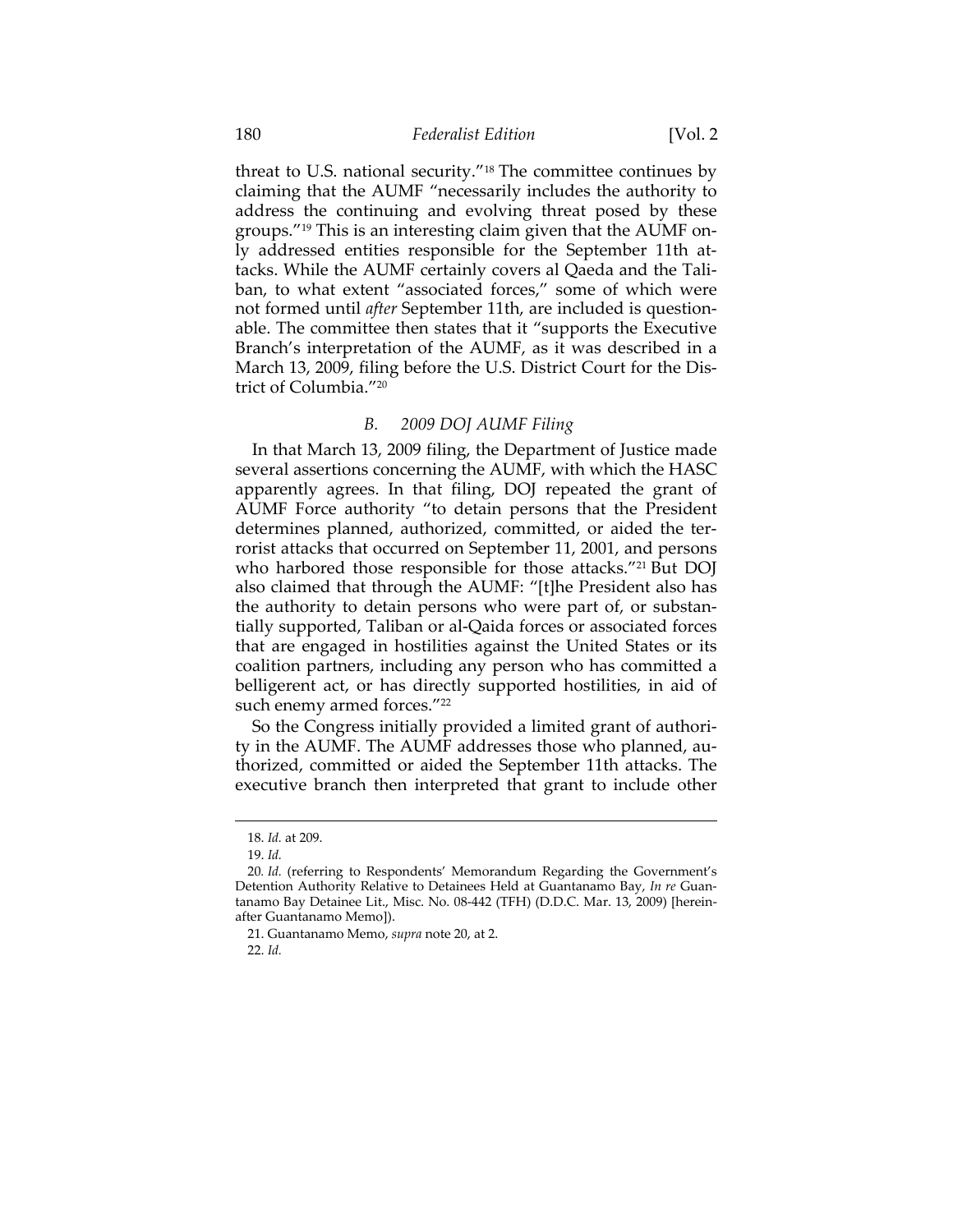threat to U.S. national security."18 The committee continues by claiming that the AUMF "necessarily includes the authority to address the continuing and evolving threat posed by these groups."19 This is an interesting claim given that the AUMF only addressed entities responsible for the September 11th attacks. While the AUMF certainly covers al Qaeda and the Taliban, to what extent "associated forces," some of which were not formed until *after* September 11th, are included is questionable. The committee then states that it "supports the Executive Branch's interpretation of the AUMF, as it was described in a March 13, 2009, filing before the U.S. District Court for the District of Columbia."20

# *B. 2009 DOJ AUMF Filing*

In that March 13, 2009 filing, the Department of Justice made several assertions concerning the AUMF, with which the HASC apparently agrees. In that filing, DOJ repeated the grant of AUMF Force authority "to detain persons that the President determines planned, authorized, committed, or aided the terrorist attacks that occurred on September 11, 2001, and persons who harbored those responsible for those attacks."<sup>21</sup> But DOJ also claimed that through the AUMF: "[t]he President also has the authority to detain persons who were part of, or substantially supported, Taliban or al-Qaida forces or associated forces that are engaged in hostilities against the United States or its coalition partners, including any person who has committed a belligerent act, or has directly supported hostilities, in aid of such enemy armed forces."<sup>22</sup>

So the Congress initially provided a limited grant of authority in the AUMF. The AUMF addresses those who planned, authorized, committed or aided the September 11th attacks. The executive branch then interpreted that grant to include other

<sup>18.</sup> *Id.* at 209.

 <sup>19.</sup> *Id.*

<sup>20</sup>*. Id.* (referring to Respondents' Memorandum Regarding the Government's Detention Authority Relative to Detainees Held at Guantanamo Bay, *In re* Guantanamo Bay Detainee Lit., Misc. No. 08-442 (TFH) (D.D.C. Mar. 13, 2009) [hereinafter Guantanamo Memo]).

 <sup>21.</sup> Guantanamo Memo, *supra* note 20, at 2.

 <sup>22.</sup> *Id.*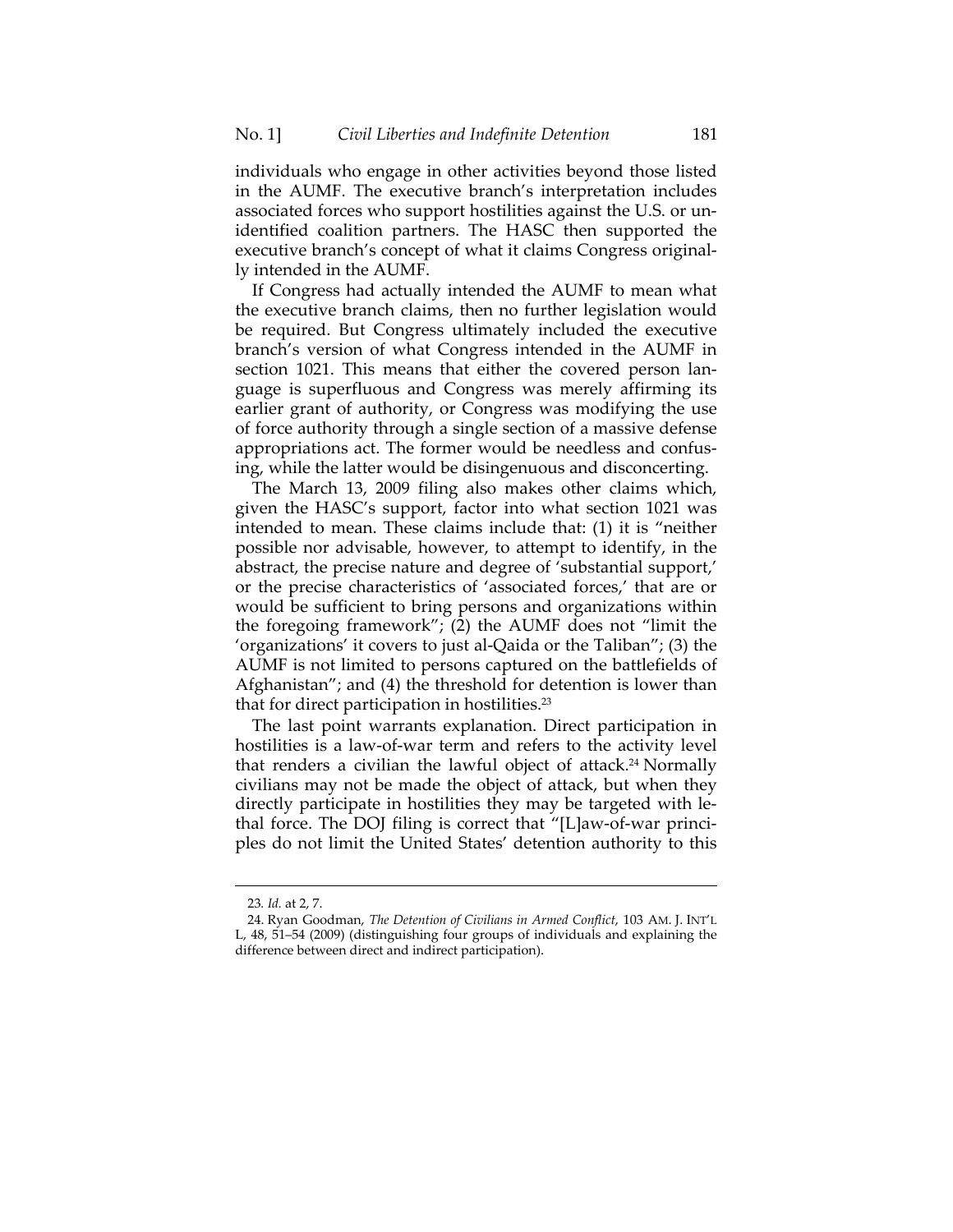individuals who engage in other activities beyond those listed in the AUMF. The executive branch's interpretation includes associated forces who support hostilities against the U.S. or unidentified coalition partners. The HASC then supported the executive branch's concept of what it claims Congress originally intended in the AUMF.

If Congress had actually intended the AUMF to mean what the executive branch claims, then no further legislation would be required. But Congress ultimately included the executive branch's version of what Congress intended in the AUMF in section 1021. This means that either the covered person language is superfluous and Congress was merely affirming its earlier grant of authority, or Congress was modifying the use of force authority through a single section of a massive defense appropriations act. The former would be needless and confusing, while the latter would be disingenuous and disconcerting.

The March 13, 2009 filing also makes other claims which, given the HASC's support, factor into what section 1021 was intended to mean. These claims include that: (1) it is "neither possible nor advisable, however, to attempt to identify, in the abstract, the precise nature and degree of 'substantial support,' or the precise characteristics of 'associated forces,' that are or would be sufficient to bring persons and organizations within the foregoing framework"; (2) the AUMF does not "limit the 'organizations' it covers to just al-Qaida or the Taliban"; (3) the AUMF is not limited to persons captured on the battlefields of Afghanistan"; and (4) the threshold for detention is lower than that for direct participation in hostilities.23

The last point warrants explanation. Direct participation in hostilities is a law-of-war term and refers to the activity level that renders a civilian the lawful object of attack.24 Normally civilians may not be made the object of attack, but when they directly participate in hostilities they may be targeted with lethal force. The DOJ filing is correct that "[L]aw-of-war principles do not limit the United States' detention authority to this

<sup>23</sup>*. Id.* at 2, 7.

 <sup>24.</sup> Ryan Goodman, *The Detention of Civilians in Armed Conflict*, 103 AM. J. INT'L L, 48, 51–54 (2009) (distinguishing four groups of individuals and explaining the difference between direct and indirect participation).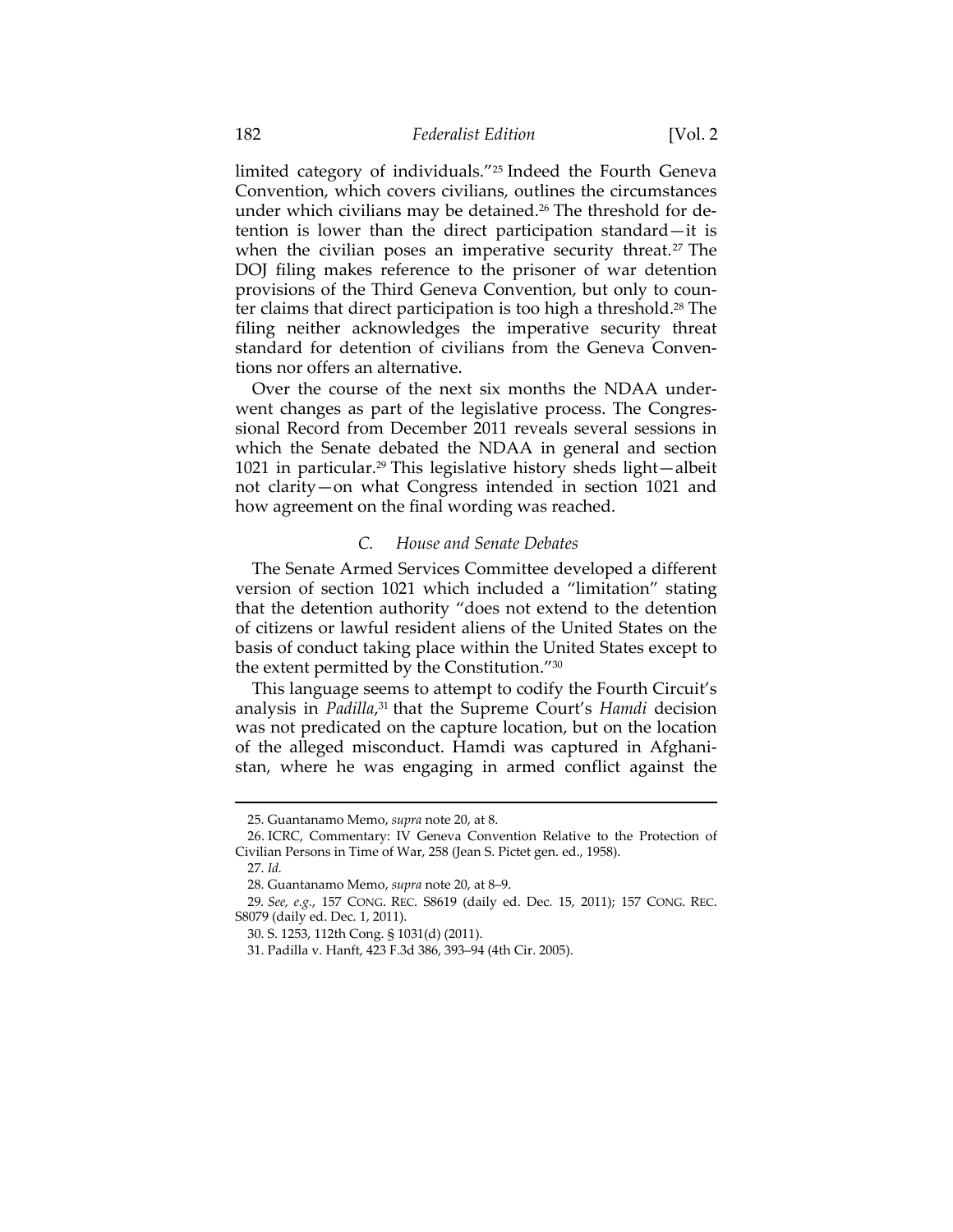limited category of individuals."25 Indeed the Fourth Geneva Convention, which covers civilians, outlines the circumstances under which civilians may be detained.<sup>26</sup> The threshold for detention is lower than the direct participation standard—it is when the civilian poses an imperative security threat.<sup>27</sup> The DOJ filing makes reference to the prisoner of war detention provisions of the Third Geneva Convention, but only to counter claims that direct participation is too high a threshold.28 The filing neither acknowledges the imperative security threat standard for detention of civilians from the Geneva Conventions nor offers an alternative.

Over the course of the next six months the NDAA underwent changes as part of the legislative process. The Congressional Record from December 2011 reveals several sessions in which the Senate debated the NDAA in general and section 1021 in particular.29 This legislative history sheds light—albeit not clarity—on what Congress intended in section 1021 and how agreement on the final wording was reached.

## *C. House and Senate Debates*

The Senate Armed Services Committee developed a different version of section 1021 which included a "limitation" stating that the detention authority "does not extend to the detention of citizens or lawful resident aliens of the United States on the basis of conduct taking place within the United States except to the extent permitted by the Constitution."30

This language seems to attempt to codify the Fourth Circuit's analysis in *Padilla*, 31 that the Supreme Court's *Hamdi* decision was not predicated on the capture location, but on the location of the alleged misconduct. Hamdi was captured in Afghanistan, where he was engaging in armed conflict against the

<u> 1989 - Andrea Stadt Britain, amerikansk politik (</u>

 <sup>25.</sup> Guantanamo Memo, *supra* note 20, at 8.

<sup>26.</sup> ICRC, Commentary: IV Geneva Convention Relative to the Protection of Civilian Persons in Time of War, 258 (Jean S. Pictet gen. ed., 1958).

 <sup>27.</sup> *Id.*

 <sup>28.</sup> Guantanamo Memo, *supra* note 20, at 8–9.

<sup>29</sup>*. See, e.g.*, 157 CONG. REC. S8619 (daily ed. Dec. 15, 2011); 157 CONG. REC. S8079 (daily ed. Dec. 1, 2011).

 <sup>30.</sup> S. 1253, 112th Cong. § 1031(d) (2011).

 <sup>31.</sup> Padilla v. Hanft, 423 F.3d 386, 393–94 (4th Cir. 2005).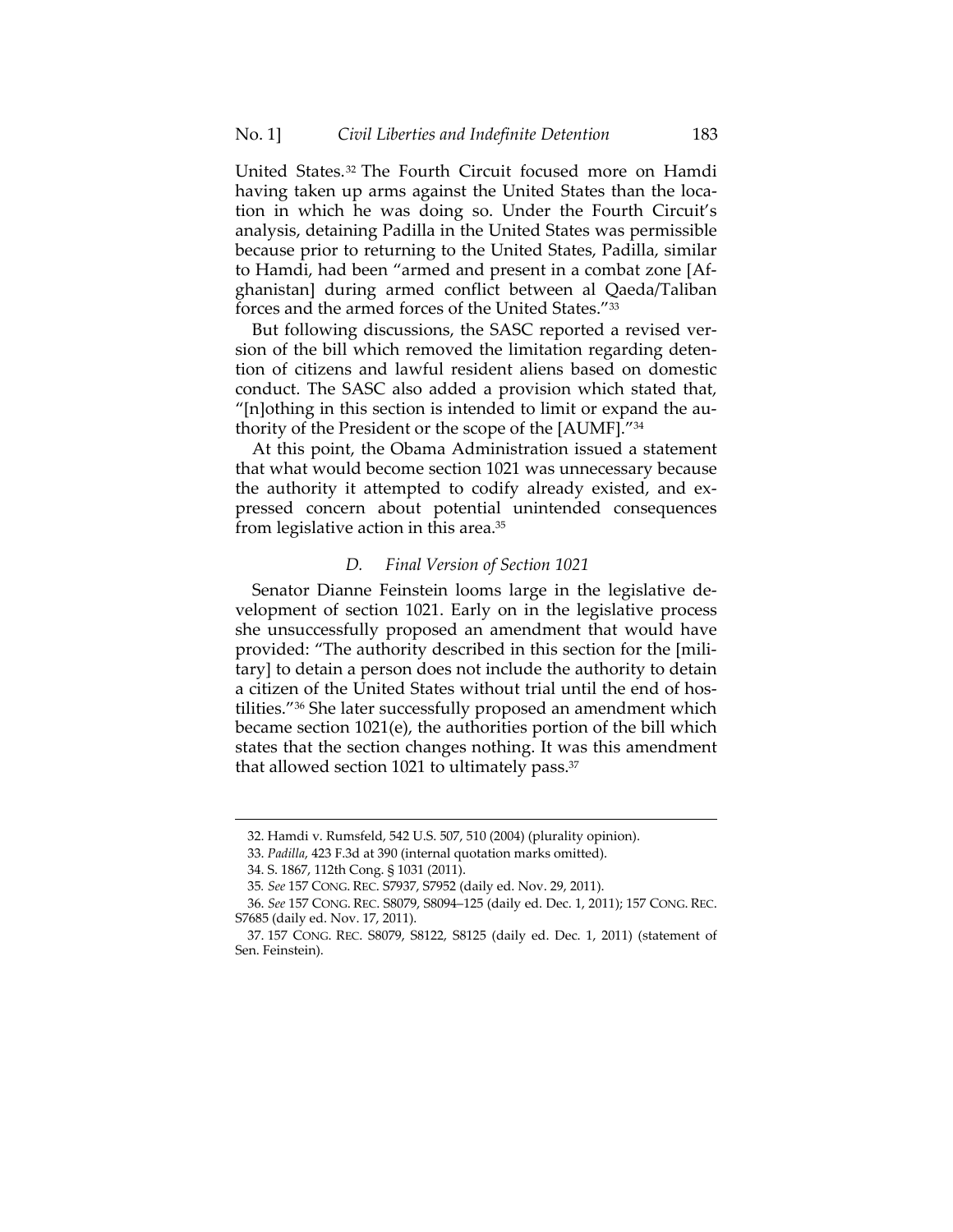United States.32 The Fourth Circuit focused more on Hamdi having taken up arms against the United States than the location in which he was doing so. Under the Fourth Circuit's analysis, detaining Padilla in the United States was permissible because prior to returning to the United States, Padilla, similar to Hamdi, had been "armed and present in a combat zone [Afghanistan] during armed conflict between al Qaeda/Taliban forces and the armed forces of the United States."33

But following discussions, the SASC reported a revised version of the bill which removed the limitation regarding detention of citizens and lawful resident aliens based on domestic conduct. The SASC also added a provision which stated that, "[n]othing in this section is intended to limit or expand the authority of the President or the scope of the [AUMF]."34

At this point, the Obama Administration issued a statement that what would become section 1021 was unnecessary because the authority it attempted to codify already existed, and expressed concern about potential unintended consequences from legislative action in this area.35

## *D. Final Version of Section 1021*

Senator Dianne Feinstein looms large in the legislative development of section 1021. Early on in the legislative process she unsuccessfully proposed an amendment that would have provided: "The authority described in this section for the [military] to detain a person does not include the authority to detain a citizen of the United States without trial until the end of hostilities."36 She later successfully proposed an amendment which became section 1021(e), the authorities portion of the bill which states that the section changes nothing. It was this amendment that allowed section 1021 to ultimately pass.<sup>37</sup>

 <sup>32.</sup> Hamdi v. Rumsfeld, 542 U.S. 507, 510 (2004) (plurality opinion).

 <sup>33.</sup> *Padilla*, 423 F.3d at 390 (internal quotation marks omitted).

 <sup>34.</sup> S. 1867, 112th Cong. § 1031 (2011).

<sup>35</sup>*. See* 157 CONG. REC. S7937, S7952 (daily ed. Nov. 29, 2011).

 <sup>36.</sup> *See* 157 CONG. REC. S8079, S8094–125 (daily ed. Dec. 1, 2011); 157 CONG. REC. S7685 (daily ed. Nov. 17, 2011).

 <sup>37. 157</sup> CONG. REC. S8079, S8122, S8125 (daily ed. Dec. 1, 2011) (statement of Sen. Feinstein).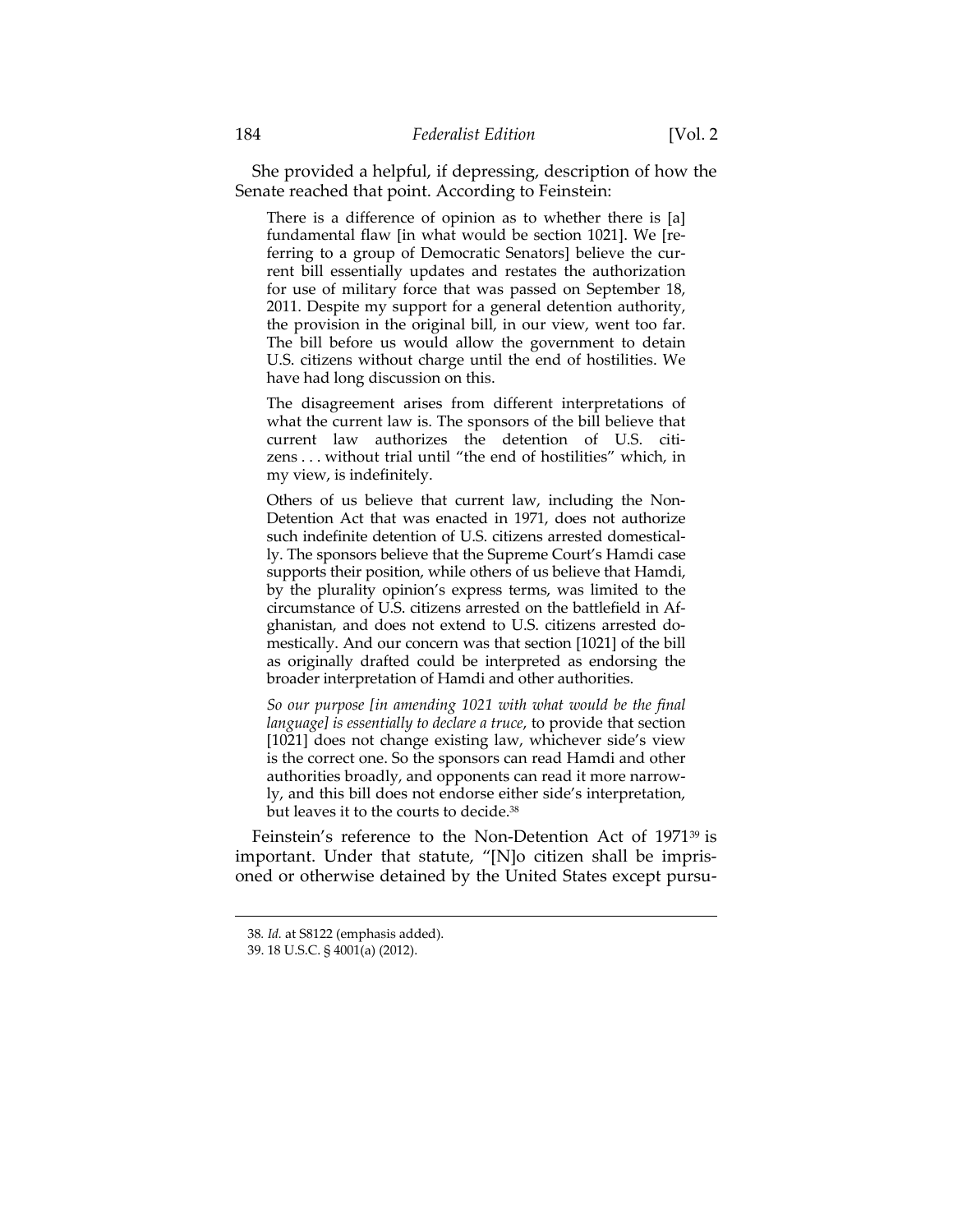She provided a helpful, if depressing, description of how the Senate reached that point. According to Feinstein:

There is a difference of opinion as to whether there is [a] fundamental flaw [in what would be section 1021]. We [referring to a group of Democratic Senators] believe the current bill essentially updates and restates the authorization for use of military force that was passed on September 18, 2011. Despite my support for a general detention authority, the provision in the original bill, in our view, went too far. The bill before us would allow the government to detain U.S. citizens without charge until the end of hostilities. We have had long discussion on this.

The disagreement arises from different interpretations of what the current law is. The sponsors of the bill believe that current law authorizes the detention of U.S. citizens . . . without trial until "the end of hostilities" which, in my view, is indefinitely.

Others of us believe that current law, including the Non-Detention Act that was enacted in 1971, does not authorize such indefinite detention of U.S. citizens arrested domestically. The sponsors believe that the Supreme Court's Hamdi case supports their position, while others of us believe that Hamdi, by the plurality opinion's express terms, was limited to the circumstance of U.S. citizens arrested on the battlefield in Afghanistan, and does not extend to U.S. citizens arrested domestically. And our concern was that section [1021] of the bill as originally drafted could be interpreted as endorsing the broader interpretation of Hamdi and other authorities.

*So our purpose [in amending 1021 with what would be the final language] is essentially to declare a truce*, to provide that section [1021] does not change existing law, whichever side's view is the correct one. So the sponsors can read Hamdi and other authorities broadly, and opponents can read it more narrowly, and this bill does not endorse either side's interpretation, but leaves it to the courts to decide.38

Feinstein's reference to the Non-Detention Act of 1971<sup>39</sup> is important. Under that statute, "[N]o citizen shall be imprisoned or otherwise detained by the United States except pursu-

<sup>38</sup>*. Id.* at S8122 (emphasis added).

 <sup>39. 18</sup> U.S.C. § 4001(a) (2012).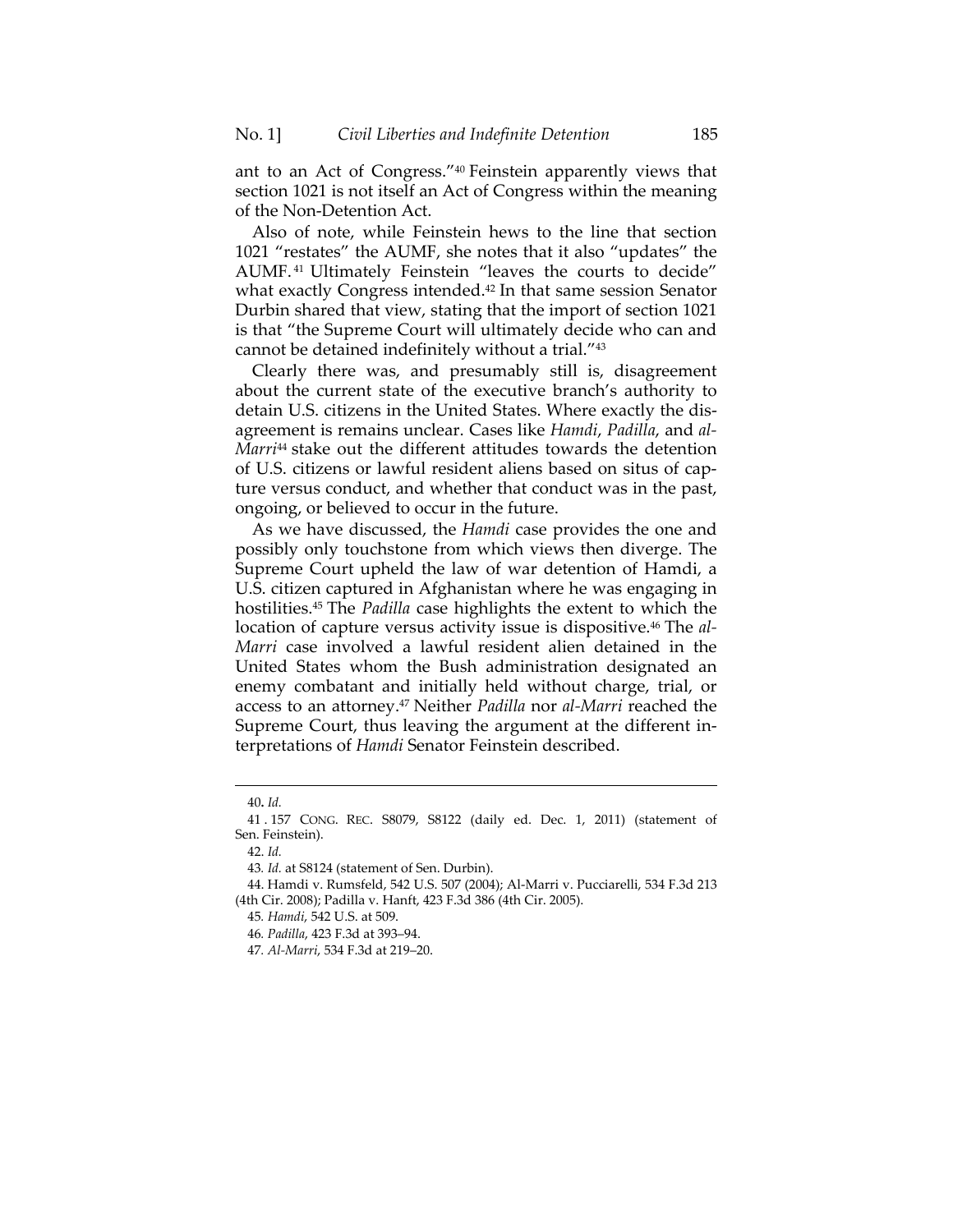ant to an Act of Congress."40 Feinstein apparently views that section 1021 is not itself an Act of Congress within the meaning of the Non-Detention Act.

Also of note, while Feinstein hews to the line that section 1021 "restates" the AUMF, she notes that it also "updates" the AUMF. 41 Ultimately Feinstein "leaves the courts to decide" what exactly Congress intended.<sup>42</sup> In that same session Senator Durbin shared that view, stating that the import of section 1021 is that "the Supreme Court will ultimately decide who can and cannot be detained indefinitely without a trial."43

Clearly there was, and presumably still is, disagreement about the current state of the executive branch's authority to detain U.S. citizens in the United States. Where exactly the disagreement is remains unclear. Cases like *Hamdi*, *Padilla*, and *al-Marri*44 stake out the different attitudes towards the detention of U.S. citizens or lawful resident aliens based on situs of capture versus conduct, and whether that conduct was in the past, ongoing, or believed to occur in the future.

As we have discussed, the *Hamdi* case provides the one and possibly only touchstone from which views then diverge. The Supreme Court upheld the law of war detention of Hamdi, a U.S. citizen captured in Afghanistan where he was engaging in hostilities.45 The *Padilla* case highlights the extent to which the location of capture versus activity issue is dispositive.<sup>46</sup> The *al*-*Marri* case involved a lawful resident alien detained in the United States whom the Bush administration designated an enemy combatant and initially held without charge, trial, or access to an attorney.47 Neither *Padilla* nor *al-Marri* reached the Supreme Court, thus leaving the argument at the different interpretations of *Hamdi* Senator Feinstein described.

<sup>40</sup>**.** *Id.*

 <sup>41 . 157</sup> CONG. REC. S8079, S8122 (daily ed. Dec. 1, 2011) (statement of Sen. Feinstein).

 <sup>42.</sup> *Id.*

<sup>43</sup>*. Id.* at S8124 (statement of Sen. Durbin).

 <sup>44.</sup> Hamdi v. Rumsfeld, 542 U.S. 507 (2004); Al-Marri v. Pucciarelli, 534 F.3d 213 (4th Cir. 2008); Padilla v. Hanft, 423 F.3d 386 (4th Cir. 2005).

<sup>45</sup>*. Hamdi*, 542 U.S. at 509.

<sup>46</sup>*. Padilla*, 423 F.3d at 393–94.

<sup>47</sup>*. Al-Marri*, 534 F.3d at 219–20.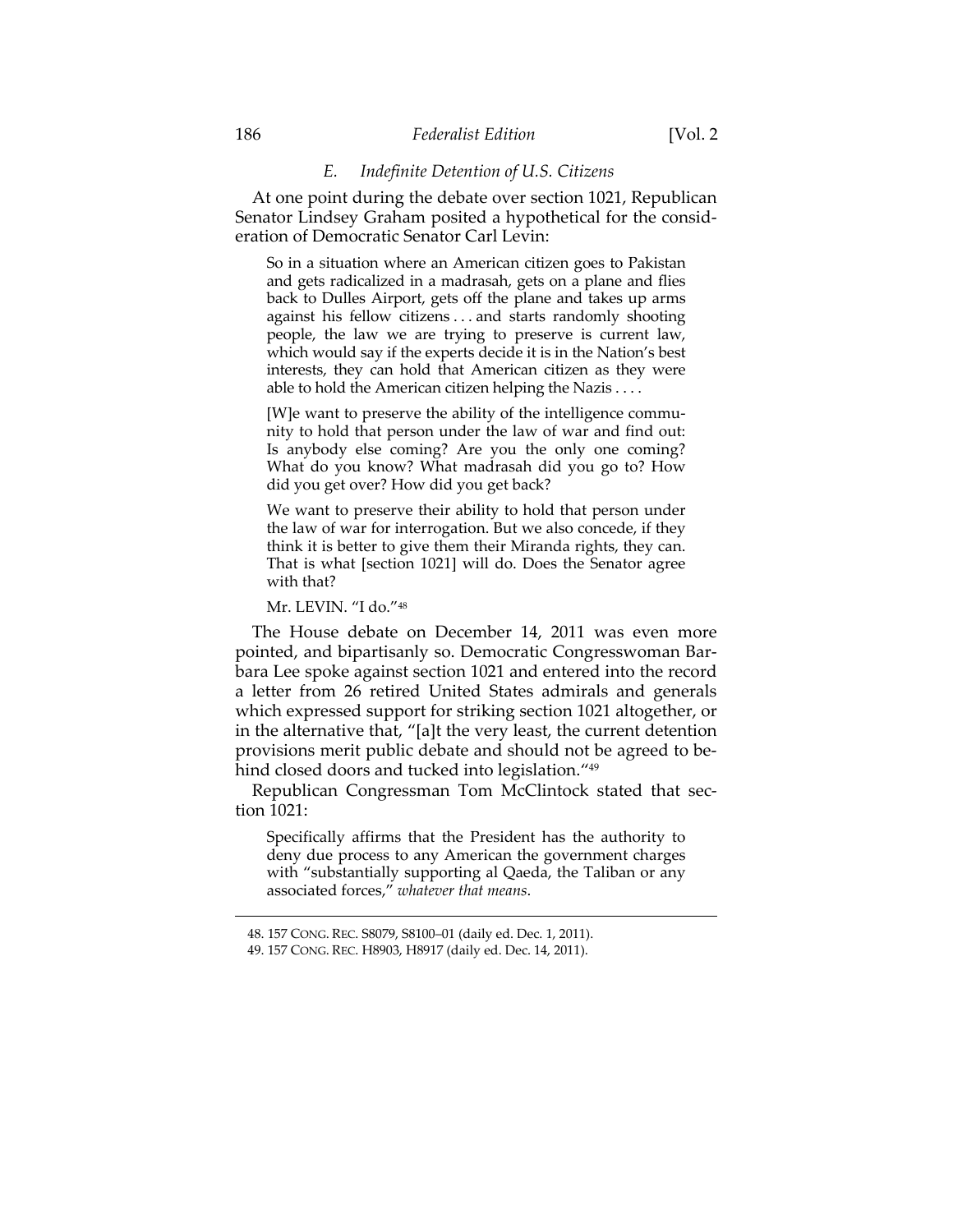#### *E. Indefinite Detention of U.S. Citizens*

At one point during the debate over section 1021, Republican Senator Lindsey Graham posited a hypothetical for the consideration of Democratic Senator Carl Levin:

So in a situation where an American citizen goes to Pakistan and gets radicalized in a madrasah, gets on a plane and flies back to Dulles Airport, gets off the plane and takes up arms against his fellow citizens . . . and starts randomly shooting people, the law we are trying to preserve is current law, which would say if the experts decide it is in the Nation's best interests, they can hold that American citizen as they were able to hold the American citizen helping the Nazis . . . .

[W]e want to preserve the ability of the intelligence community to hold that person under the law of war and find out: Is anybody else coming? Are you the only one coming? What do you know? What madrasah did you go to? How did you get over? How did you get back?

We want to preserve their ability to hold that person under the law of war for interrogation. But we also concede, if they think it is better to give them their Miranda rights, they can. That is what [section 1021] will do. Does the Senator agree with that?

Mr. LEVIN. "I do."48

The House debate on December 14, 2011 was even more pointed, and bipartisanly so. Democratic Congresswoman Barbara Lee spoke against section 1021 and entered into the record a letter from 26 retired United States admirals and generals which expressed support for striking section 1021 altogether, or in the alternative that, "[a]t the very least, the current detention provisions merit public debate and should not be agreed to behind closed doors and tucked into legislation."<sup>49</sup>

Republican Congressman Tom McClintock stated that section 1021:

Specifically affirms that the President has the authority to deny due process to any American the government charges with "substantially supporting al Qaeda, the Taliban or any associated forces," *whatever that means*.

 <sup>48. 157</sup> CONG. REC. S8079, S8100–01 (daily ed. Dec. 1, 2011).

 <sup>49. 157</sup> CONG. REC. H8903, H8917 (daily ed. Dec. 14, 2011).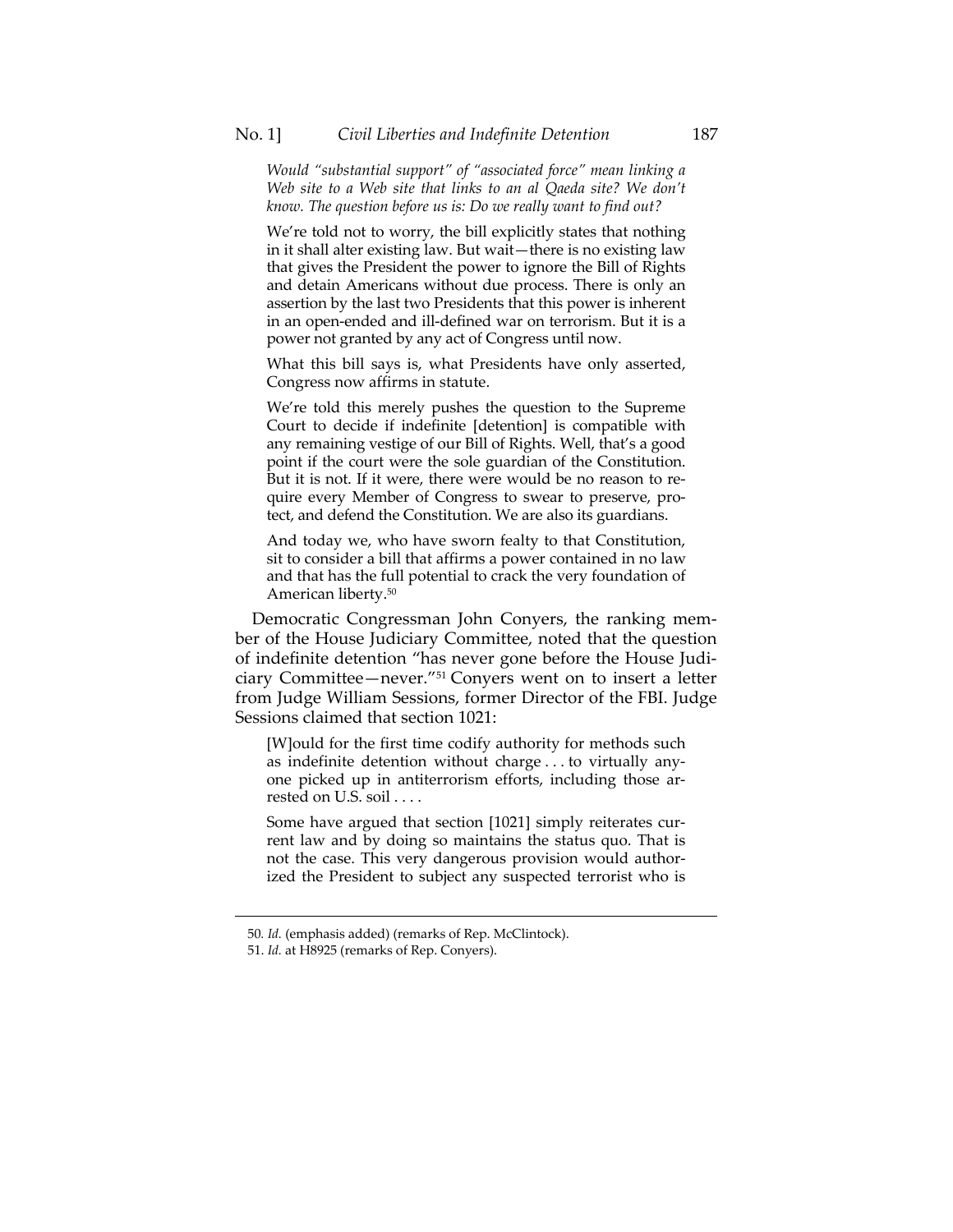*Would "substantial support" of "associated force" mean linking a Web site to a Web site that links to an al Qaeda site? We don't know. The question before us is: Do we really want to find out?* 

We're told not to worry, the bill explicitly states that nothing in it shall alter existing law. But wait—there is no existing law that gives the President the power to ignore the Bill of Rights and detain Americans without due process. There is only an assertion by the last two Presidents that this power is inherent in an open-ended and ill-defined war on terrorism. But it is a power not granted by any act of Congress until now.

What this bill says is, what Presidents have only asserted, Congress now affirms in statute.

We're told this merely pushes the question to the Supreme Court to decide if indefinite [detention] is compatible with any remaining vestige of our Bill of Rights. Well, that's a good point if the court were the sole guardian of the Constitution. But it is not. If it were, there were would be no reason to require every Member of Congress to swear to preserve, protect, and defend the Constitution. We are also its guardians.

And today we, who have sworn fealty to that Constitution, sit to consider a bill that affirms a power contained in no law and that has the full potential to crack the very foundation of American liberty.50

Democratic Congressman John Conyers, the ranking member of the House Judiciary Committee, noted that the question of indefinite detention "has never gone before the House Judiciary Committee—never."51 Conyers went on to insert a letter from Judge William Sessions, former Director of the FBI. Judge Sessions claimed that section 1021:

[W]ould for the first time codify authority for methods such as indefinite detention without charge . . . to virtually anyone picked up in antiterrorism efforts, including those arrested on U.S. soil . . . .

Some have argued that section [1021] simply reiterates current law and by doing so maintains the status quo. That is not the case. This very dangerous provision would authorized the President to subject any suspected terrorist who is

<sup>50</sup>*. Id.* (emphasis added) (remarks of Rep. McClintock).

 <sup>51.</sup> *Id.* at H8925 (remarks of Rep. Conyers).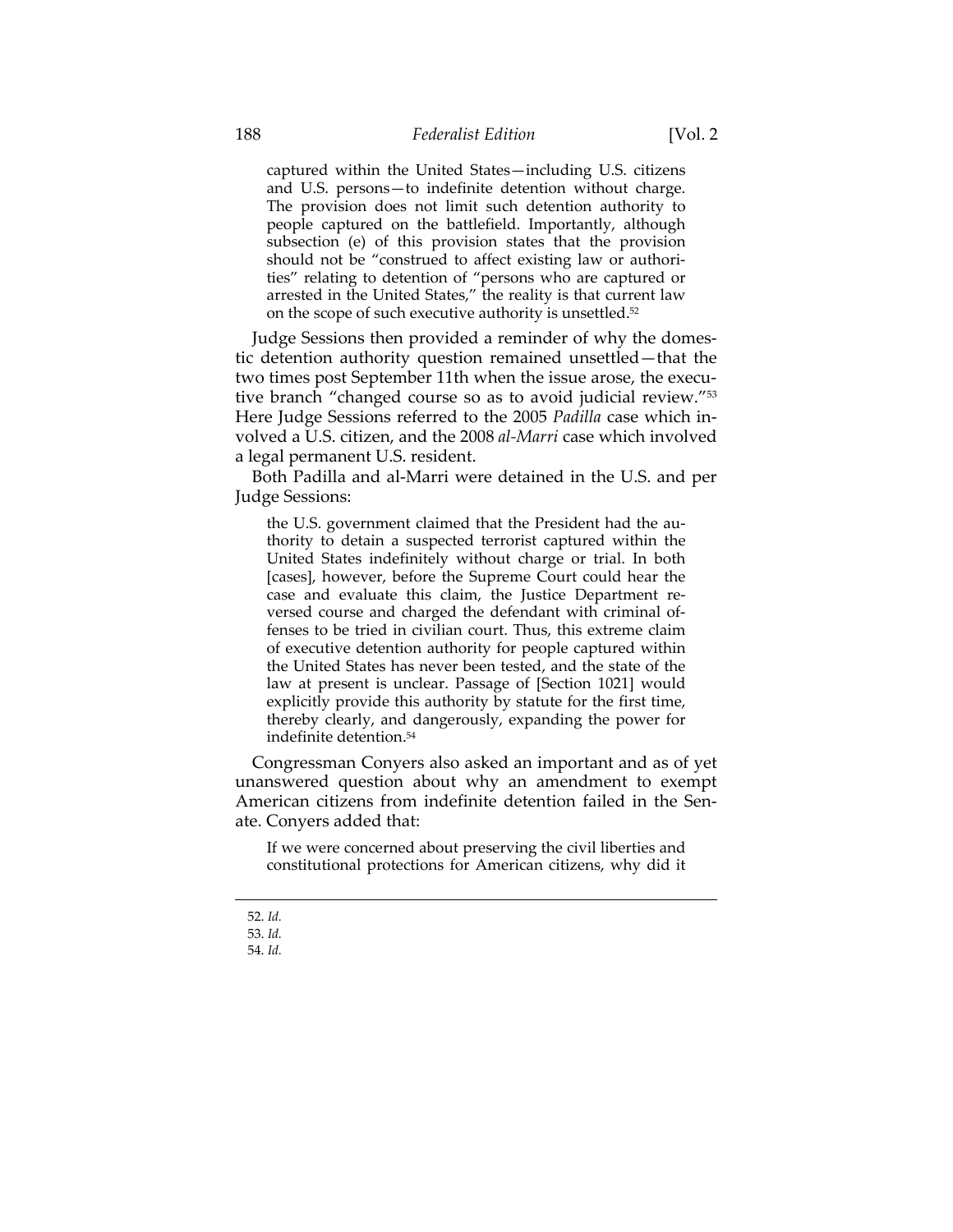captured within the United States—including U.S. citizens and U.S. persons—to indefinite detention without charge. The provision does not limit such detention authority to people captured on the battlefield. Importantly, although subsection (e) of this provision states that the provision should not be "construed to affect existing law or authorities" relating to detention of "persons who are captured or arrested in the United States," the reality is that current law on the scope of such executive authority is unsettled.52

Judge Sessions then provided a reminder of why the domestic detention authority question remained unsettled—that the two times post September 11th when the issue arose, the executive branch "changed course so as to avoid judicial review."53 Here Judge Sessions referred to the 2005 *Padilla* case which involved a U.S. citizen, and the 2008 *al-Marri* case which involved a legal permanent U.S. resident.

Both Padilla and al-Marri were detained in the U.S. and per Judge Sessions:

the U.S. government claimed that the President had the authority to detain a suspected terrorist captured within the United States indefinitely without charge or trial. In both [cases], however, before the Supreme Court could hear the case and evaluate this claim, the Justice Department reversed course and charged the defendant with criminal offenses to be tried in civilian court. Thus, this extreme claim of executive detention authority for people captured within the United States has never been tested, and the state of the law at present is unclear. Passage of [Section 1021] would explicitly provide this authority by statute for the first time, thereby clearly, and dangerously, expanding the power for indefinite detention.54

Congressman Conyers also asked an important and as of yet unanswered question about why an amendment to exempt American citizens from indefinite detention failed in the Senate. Conyers added that:

If we were concerned about preserving the civil liberties and constitutional protections for American citizens, why did it

 <sup>52.</sup> *Id.*

 <sup>53.</sup> *Id.*

 <sup>54.</sup> *Id.*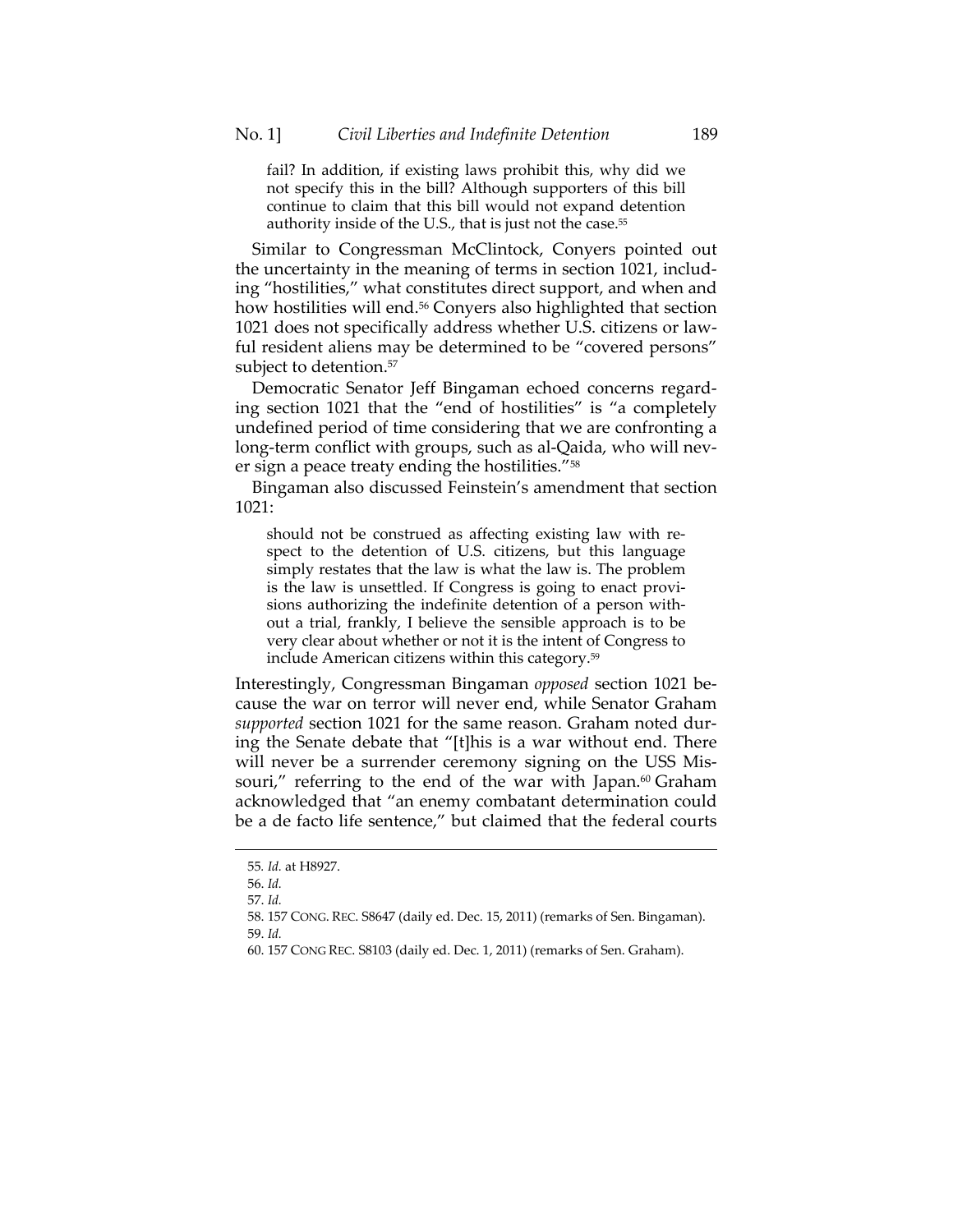fail? In addition, if existing laws prohibit this, why did we not specify this in the bill? Although supporters of this bill continue to claim that this bill would not expand detention authority inside of the U.S., that is just not the case.<sup>55</sup>

Similar to Congressman McClintock, Conyers pointed out the uncertainty in the meaning of terms in section 1021, including "hostilities," what constitutes direct support, and when and how hostilities will end.<sup>56</sup> Conyers also highlighted that section 1021 does not specifically address whether U.S. citizens or lawful resident aliens may be determined to be "covered persons" subject to detention.<sup>57</sup>

Democratic Senator Jeff Bingaman echoed concerns regarding section 1021 that the "end of hostilities" is "a completely undefined period of time considering that we are confronting a long-term conflict with groups, such as al-Qaida, who will never sign a peace treaty ending the hostilities."58

Bingaman also discussed Feinstein's amendment that section 1021:

should not be construed as affecting existing law with respect to the detention of U.S. citizens, but this language simply restates that the law is what the law is. The problem is the law is unsettled. If Congress is going to enact provisions authorizing the indefinite detention of a person without a trial, frankly, I believe the sensible approach is to be very clear about whether or not it is the intent of Congress to include American citizens within this category.<sup>59</sup>

Interestingly, Congressman Bingaman *opposed* section 1021 because the war on terror will never end, while Senator Graham *supported* section 1021 for the same reason. Graham noted during the Senate debate that "[t]his is a war without end. There will never be a surrender ceremony signing on the USS Missouri," referring to the end of the war with Japan.<sup>60</sup> Graham acknowledged that "an enemy combatant determination could be a de facto life sentence," but claimed that the federal courts

<sup>55</sup>*. Id.* at H8927.

 <sup>56.</sup> *Id.*

 <sup>57.</sup> *Id.*

 <sup>58. 157</sup> CONG. REC. S8647 (daily ed. Dec. 15, 2011) (remarks of Sen. Bingaman). 59. *Id.*

 <sup>60. 157</sup> CONG REC. S8103 (daily ed. Dec. 1, 2011) (remarks of Sen. Graham).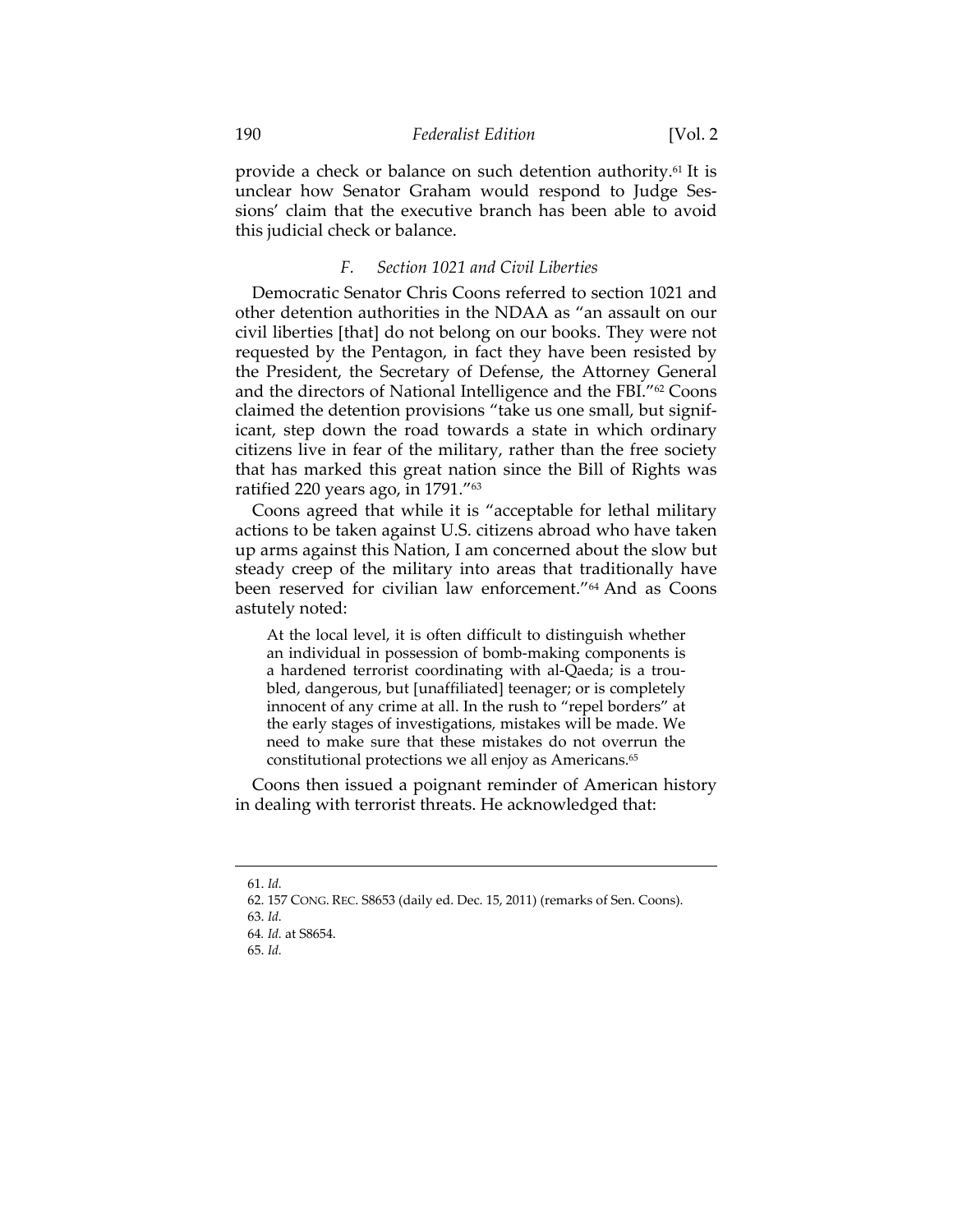provide a check or balance on such detention authority.61 It is unclear how Senator Graham would respond to Judge Sessions' claim that the executive branch has been able to avoid this judicial check or balance.

## *F. Section 1021 and Civil Liberties*

Democratic Senator Chris Coons referred to section 1021 and other detention authorities in the NDAA as "an assault on our civil liberties [that] do not belong on our books. They were not requested by the Pentagon, in fact they have been resisted by the President, the Secretary of Defense, the Attorney General and the directors of National Intelligence and the FBI."62 Coons claimed the detention provisions "take us one small, but significant, step down the road towards a state in which ordinary citizens live in fear of the military, rather than the free society that has marked this great nation since the Bill of Rights was ratified 220 years ago, in 1791."63

Coons agreed that while it is "acceptable for lethal military actions to be taken against U.S. citizens abroad who have taken up arms against this Nation, I am concerned about the slow but steady creep of the military into areas that traditionally have been reserved for civilian law enforcement."64 And as Coons astutely noted:

At the local level, it is often difficult to distinguish whether an individual in possession of bomb-making components is a hardened terrorist coordinating with al-Qaeda; is a troubled, dangerous, but [unaffiliated] teenager; or is completely innocent of any crime at all. In the rush to "repel borders" at the early stages of investigations, mistakes will be made. We need to make sure that these mistakes do not overrun the constitutional protections we all enjoy as Americans.65

Coons then issued a poignant reminder of American history in dealing with terrorist threats. He acknowledged that:

 <sup>61.</sup> *Id.*

 <sup>62. 157</sup> CONG. REC. S8653 (daily ed. Dec. 15, 2011) (remarks of Sen. Coons). 63. *Id.*

<sup>64</sup>*. Id.* at S8654.

 <sup>65.</sup> *Id.*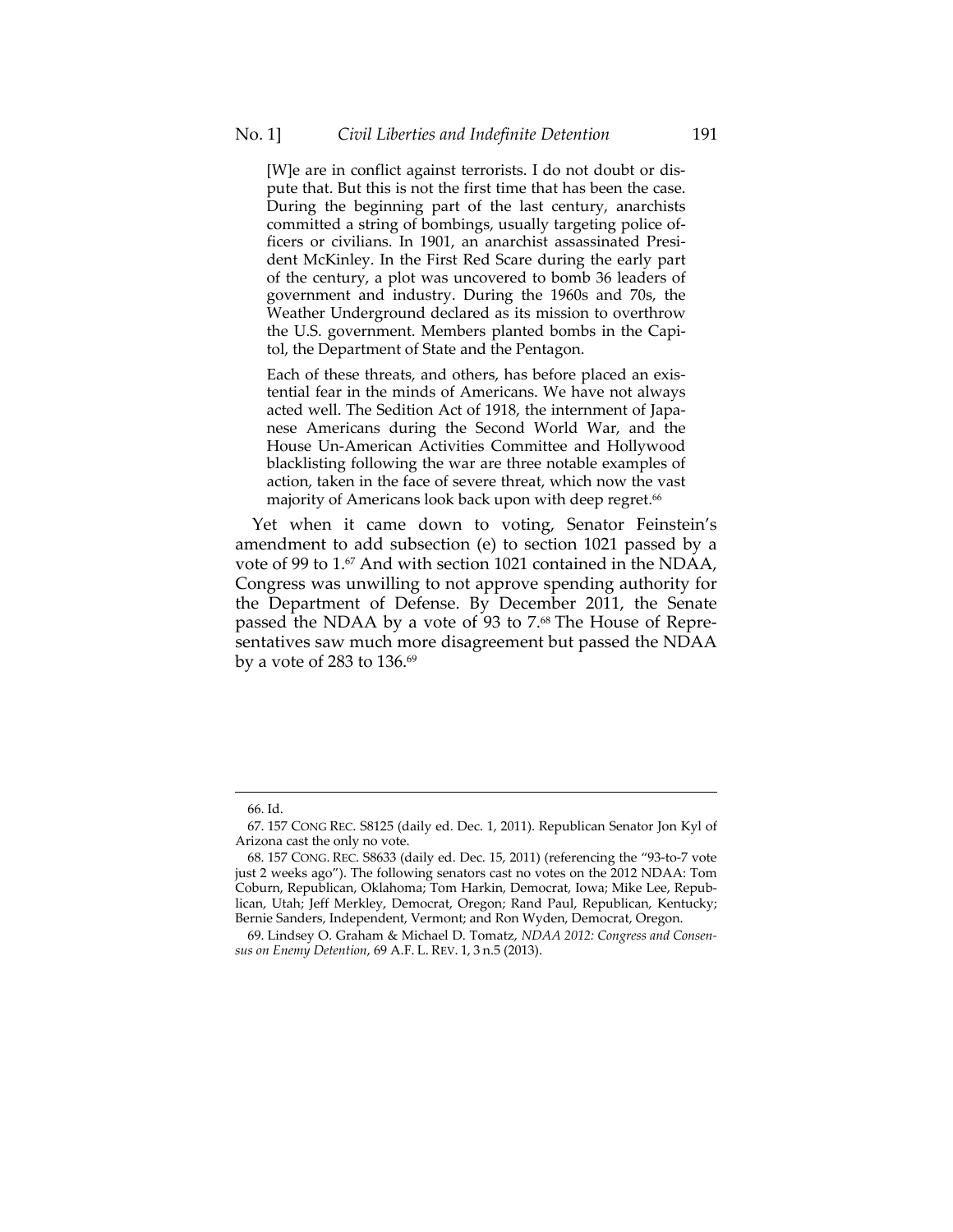[W]e are in conflict against terrorists. I do not doubt or dispute that. But this is not the first time that has been the case. During the beginning part of the last century, anarchists committed a string of bombings, usually targeting police officers or civilians. In 1901, an anarchist assassinated President McKinley. In the First Red Scare during the early part of the century, a plot was uncovered to bomb 36 leaders of government and industry. During the 1960s and 70s, the Weather Underground declared as its mission to overthrow the U.S. government. Members planted bombs in the Capitol, the Department of State and the Pentagon.

Each of these threats, and others, has before placed an existential fear in the minds of Americans. We have not always acted well. The Sedition Act of 1918, the internment of Japanese Americans during the Second World War, and the House Un-American Activities Committee and Hollywood blacklisting following the war are three notable examples of action, taken in the face of severe threat, which now the vast majority of Americans look back upon with deep regret.<sup>66</sup>

Yet when it came down to voting, Senator Feinstein's amendment to add subsection (e) to section 1021 passed by a vote of 99 to 1.<sup>67</sup> And with section 1021 contained in the NDAA, Congress was unwilling to not approve spending authority for the Department of Defense. By December 2011, the Senate passed the NDAA by a vote of 93 to 7.68 The House of Representatives saw much more disagreement but passed the NDAA by a vote of 283 to  $136.^{69}$ 

 <sup>66.</sup> Id.

 <sup>67. 157</sup> CONG REC. S8125 (daily ed. Dec. 1, 2011). Republican Senator Jon Kyl of Arizona cast the only no vote.

 <sup>68. 157</sup> CONG. REC. S8633 (daily ed. Dec. 15, 2011) (referencing the "93-to-7 vote just 2 weeks ago"). The following senators cast no votes on the 2012 NDAA: Tom Coburn, Republican, Oklahoma; Tom Harkin, Democrat, Iowa; Mike Lee, Republican, Utah; Jeff Merkley, Democrat, Oregon; Rand Paul, Republican, Kentucky; Bernie Sanders, Independent, Vermont; and Ron Wyden, Democrat, Oregon.

 <sup>69.</sup> Lindsey O. Graham & Michael D. Tomatz, *NDAA 2012: Congress and Consensus on Enemy Detention*, 69 A.F. L. REV. 1, 3 n.5 (2013).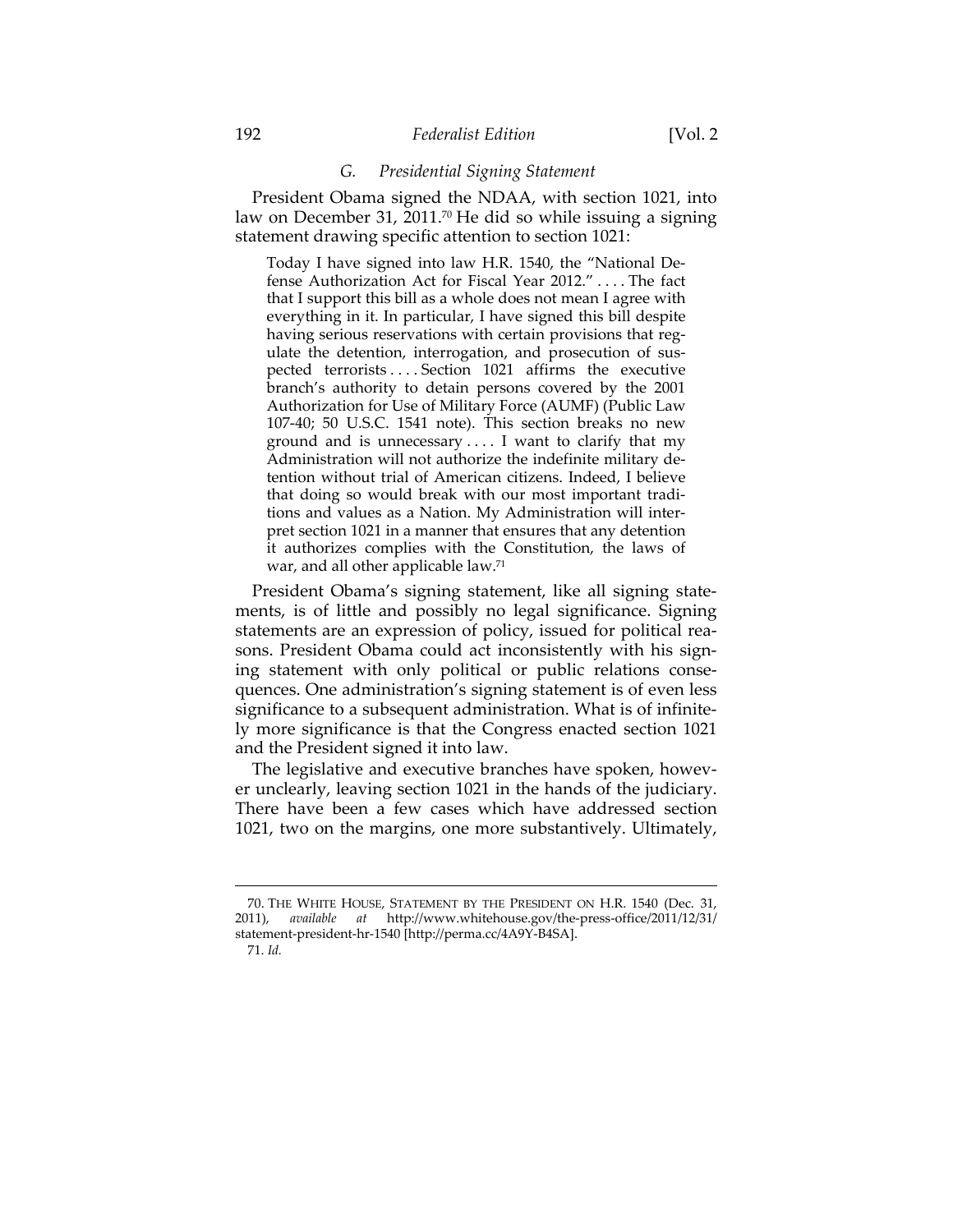## 192 *Federalist Edition* [Vol. 2

## *G. Presidential Signing Statement*

President Obama signed the NDAA, with section 1021, into law on December 31, 2011.<sup>70</sup> He did so while issuing a signing statement drawing specific attention to section 1021:

Today I have signed into law H.R. 1540, the "National Defense Authorization Act for Fiscal Year 2012." . . . . The fact that I support this bill as a whole does not mean I agree with everything in it. In particular, I have signed this bill despite having serious reservations with certain provisions that regulate the detention, interrogation, and prosecution of suspected terrorists . . . . Section 1021 affirms the executive branch's authority to detain persons covered by the 2001 Authorization for Use of Military Force (AUMF) (Public Law 107-40; 50 U.S.C. 1541 note). This section breaks no new ground and is unnecessary . . . . I want to clarify that my Administration will not authorize the indefinite military detention without trial of American citizens. Indeed, I believe that doing so would break with our most important traditions and values as a Nation. My Administration will interpret section 1021 in a manner that ensures that any detention it authorizes complies with the Constitution, the laws of war, and all other applicable law.<sup>71</sup>

President Obama's signing statement, like all signing statements, is of little and possibly no legal significance. Signing statements are an expression of policy, issued for political reasons. President Obama could act inconsistently with his signing statement with only political or public relations consequences. One administration's signing statement is of even less significance to a subsequent administration. What is of infinitely more significance is that the Congress enacted section 1021 and the President signed it into law.

The legislative and executive branches have spoken, however unclearly, leaving section 1021 in the hands of the judiciary. There have been a few cases which have addressed section 1021, two on the margins, one more substantively. Ultimately,

 <sup>70.</sup> THE WHITE HOUSE, STATEMENT BY THE PRESIDENT ON H.R. 1540 (Dec. 31, 2011), *available at* http://www.whitehouse.gov/the-press-office/2011/12/31/ statement-president-hr-1540 [http://perma.cc/4A9Y-B4SA].

 <sup>71.</sup> *Id.*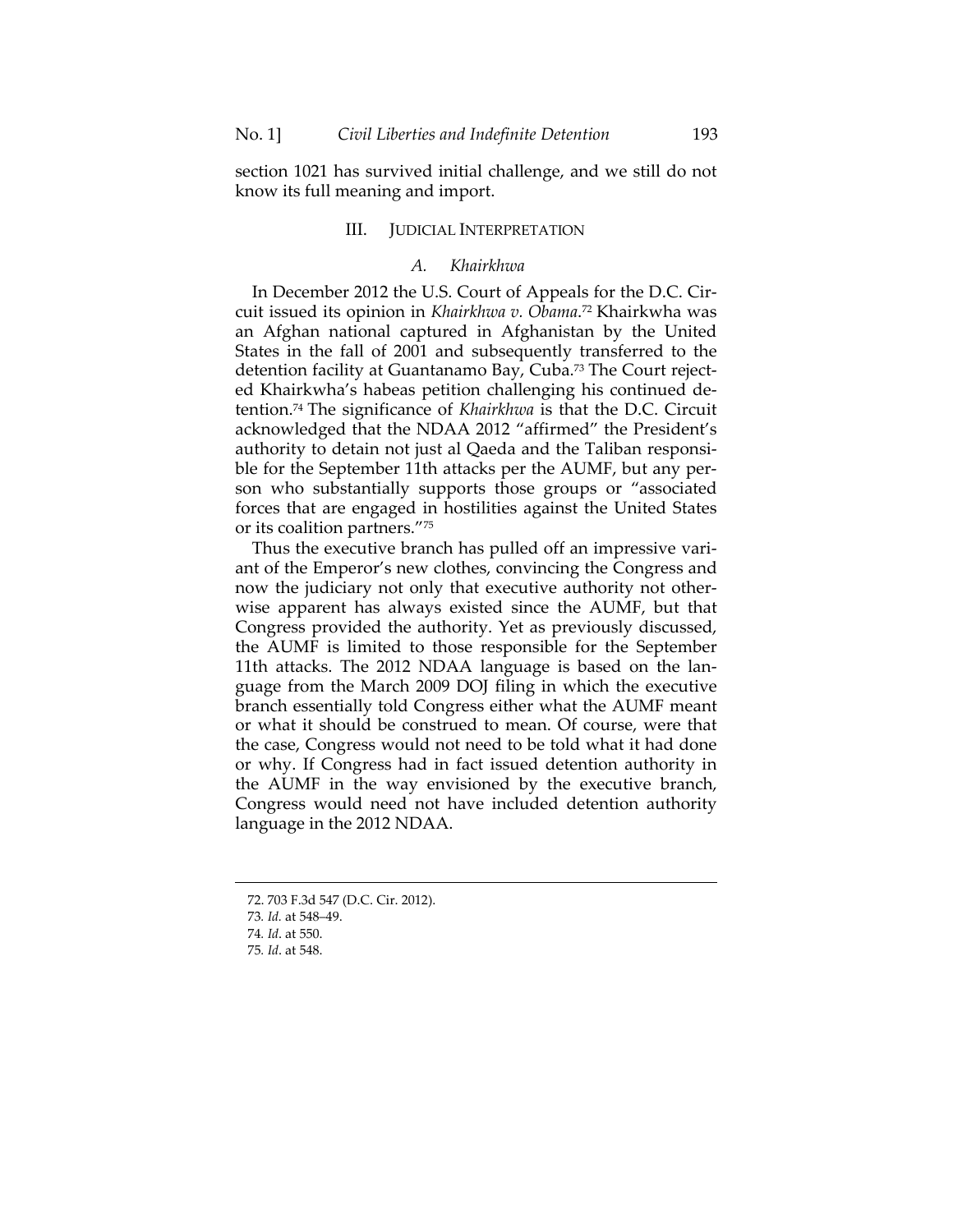section 1021 has survived initial challenge, and we still do not know its full meaning and import.

## III. JUDICIAL INTERPRETATION

## *A. Khairkhwa*

In December 2012 the U.S. Court of Appeals for the D.C. Circuit issued its opinion in *Khairkhwa v. Obama*. 72 Khairkwha was an Afghan national captured in Afghanistan by the United States in the fall of 2001 and subsequently transferred to the detention facility at Guantanamo Bay, Cuba.73 The Court rejected Khairkwha's habeas petition challenging his continued detention.74 The significance of *Khairkhwa* is that the D.C. Circuit acknowledged that the NDAA 2012 "affirmed" the President's authority to detain not just al Qaeda and the Taliban responsible for the September 11th attacks per the AUMF, but any person who substantially supports those groups or "associated forces that are engaged in hostilities against the United States or its coalition partners."75

Thus the executive branch has pulled off an impressive variant of the Emperor's new clothes, convincing the Congress and now the judiciary not only that executive authority not otherwise apparent has always existed since the AUMF, but that Congress provided the authority. Yet as previously discussed, the AUMF is limited to those responsible for the September 11th attacks. The 2012 NDAA language is based on the language from the March 2009 DOJ filing in which the executive branch essentially told Congress either what the AUMF meant or what it should be construed to mean. Of course, were that the case, Congress would not need to be told what it had done or why. If Congress had in fact issued detention authority in the AUMF in the way envisioned by the executive branch, Congress would need not have included detention authority language in the 2012 NDAA.

 <sup>72. 703</sup> F.3d 547 (D.C. Cir. 2012).

<sup>73</sup>*. Id.* at 548–49.

<sup>74</sup>*. Id*. at 550.

<sup>75</sup>*. Id*. at 548.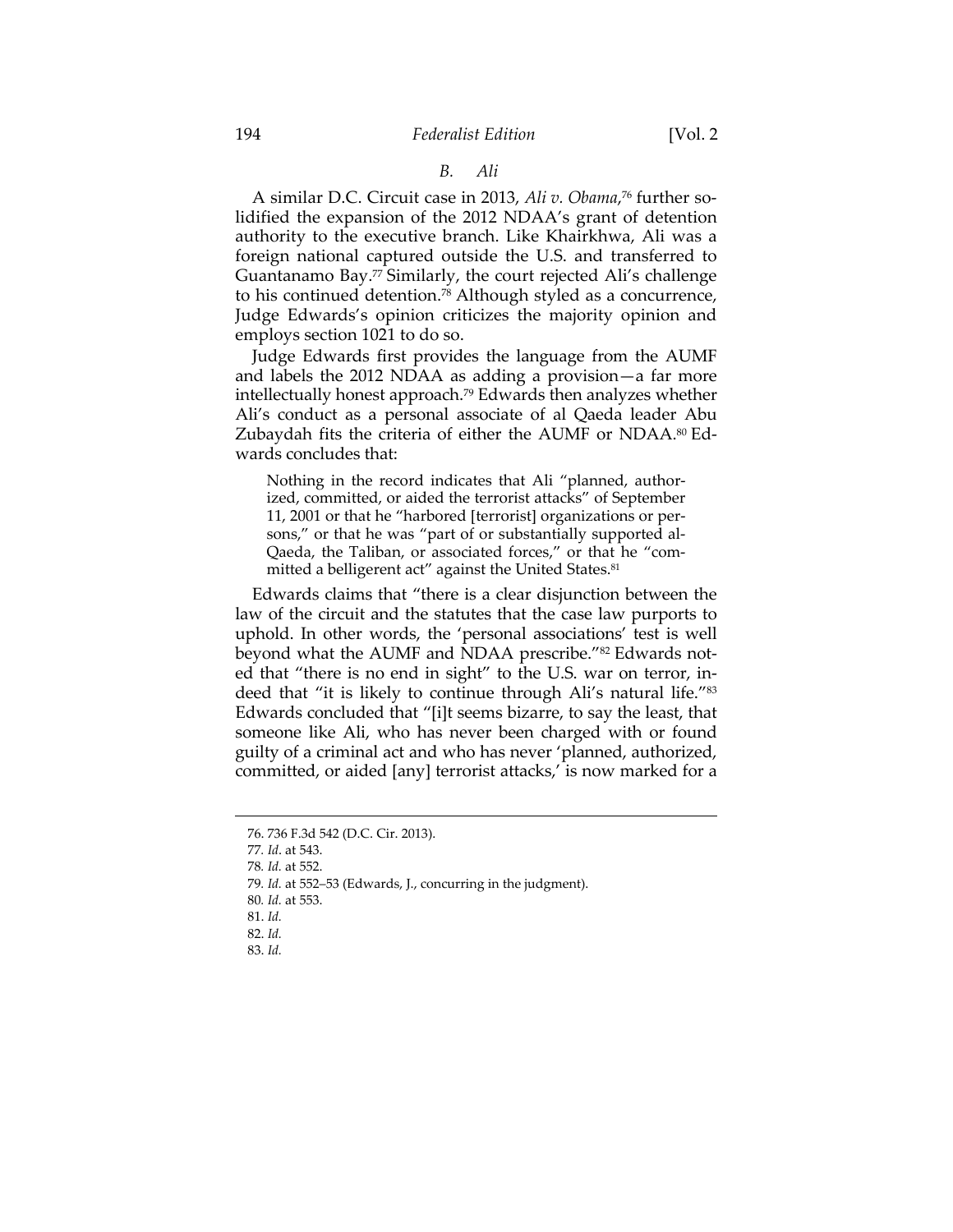## *B. Ali*

A similar D.C. Circuit case in 2013, *Ali v. Obama*, 76 further solidified the expansion of the 2012 NDAA's grant of detention authority to the executive branch. Like Khairkhwa, Ali was a foreign national captured outside the U.S. and transferred to Guantanamo Bay.77 Similarly, the court rejected Ali's challenge to his continued detention.78 Although styled as a concurrence, Judge Edwards's opinion criticizes the majority opinion and employs section 1021 to do so.

Judge Edwards first provides the language from the AUMF and labels the 2012 NDAA as adding a provision—a far more intellectually honest approach.79 Edwards then analyzes whether Ali's conduct as a personal associate of al Qaeda leader Abu Zubaydah fits the criteria of either the AUMF or NDAA.<sup>80</sup> Edwards concludes that:

Nothing in the record indicates that Ali "planned, authorized, committed, or aided the terrorist attacks" of September 11, 2001 or that he "harbored [terrorist] organizations or persons," or that he was "part of or substantially supported al-Qaeda, the Taliban, or associated forces," or that he "committed a belligerent act" against the United States.<sup>81</sup>

Edwards claims that "there is a clear disjunction between the law of the circuit and the statutes that the case law purports to uphold. In other words, the 'personal associations' test is well beyond what the AUMF and NDAA prescribe."<sup>82</sup> Edwards noted that "there is no end in sight" to the U.S. war on terror, indeed that "it is likely to continue through Ali's natural life."83 Edwards concluded that "[i]t seems bizarre, to say the least, that someone like Ali, who has never been charged with or found guilty of a criminal act and who has never 'planned, authorized, committed, or aided [any] terrorist attacks,' is now marked for a

 

83. *Id.*

 <sup>76. 736</sup> F.3d 542 (D.C. Cir. 2013).

<sup>77</sup>*. Id*. at 543.

<sup>78</sup>*. Id.* at 552.

<sup>79</sup>*. Id.* at 552–53 (Edwards, J., concurring in the judgment).

<sup>80</sup>*. Id.* at 553.

 <sup>81.</sup> *Id.*

 <sup>82.</sup> *Id.*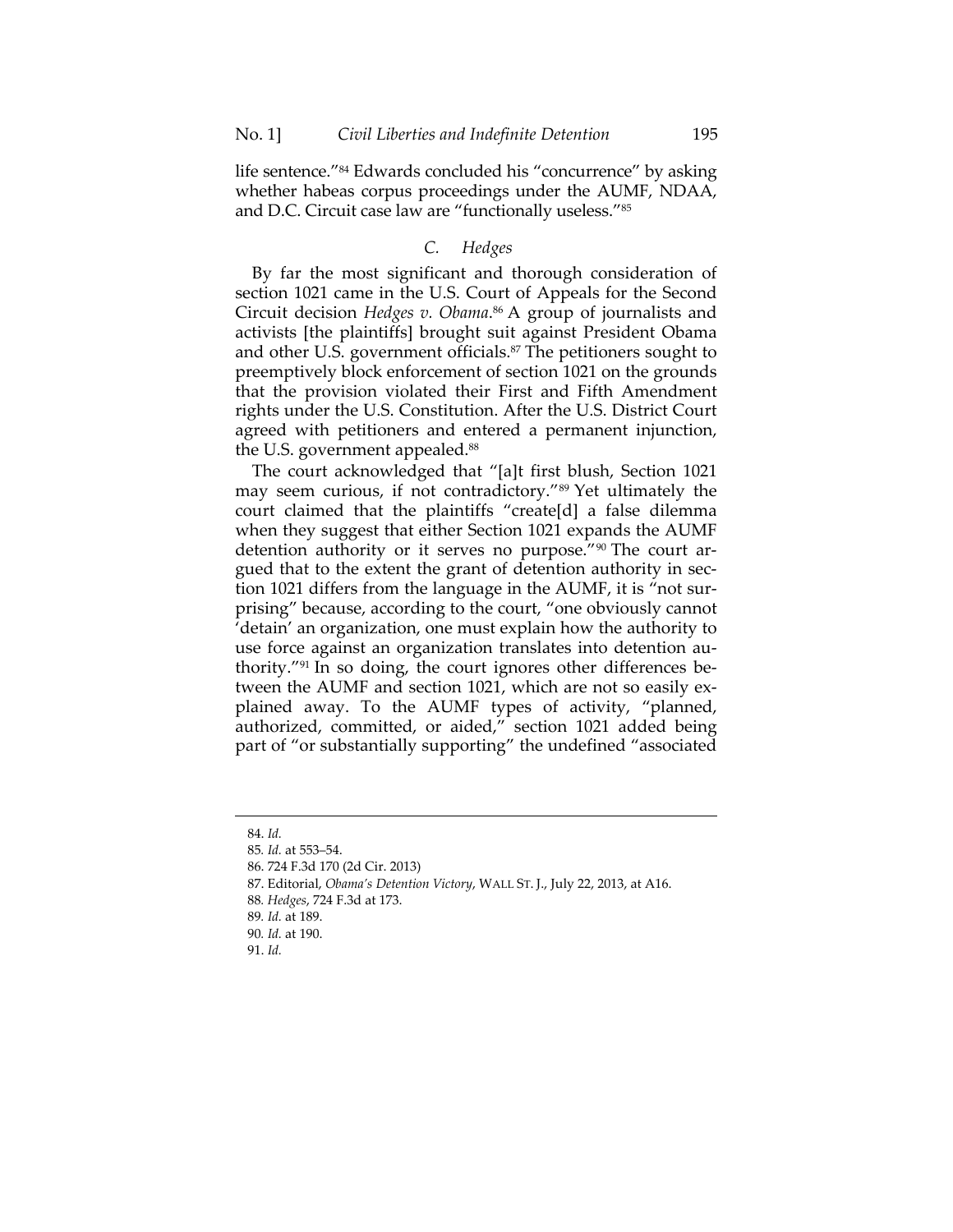life sentence."84 Edwards concluded his "concurrence" by asking whether habeas corpus proceedings under the AUMF, NDAA, and D.C. Circuit case law are "functionally useless."85

# *C. Hedges*

By far the most significant and thorough consideration of section 1021 came in the U.S. Court of Appeals for the Second Circuit decision *Hedges v. Obama*. 86 A group of journalists and activists [the plaintiffs] brought suit against President Obama and other U.S. government officials.<sup>87</sup> The petitioners sought to preemptively block enforcement of section 1021 on the grounds that the provision violated their First and Fifth Amendment rights under the U.S. Constitution. After the U.S. District Court agreed with petitioners and entered a permanent injunction, the U.S. government appealed.<sup>88</sup>

The court acknowledged that "[a]t first blush, Section 1021 may seem curious, if not contradictory."<sup>89</sup> Yet ultimately the court claimed that the plaintiffs "create[d] a false dilemma when they suggest that either Section 1021 expands the AUMF detention authority or it serves no purpose."90 The court argued that to the extent the grant of detention authority in section 1021 differs from the language in the AUMF, it is "not surprising" because, according to the court, "one obviously cannot 'detain' an organization, one must explain how the authority to use force against an organization translates into detention authority."91 In so doing, the court ignores other differences between the AUMF and section 1021, which are not so easily explained away. To the AUMF types of activity, "planned, authorized, committed, or aided," section 1021 added being part of "or substantially supporting" the undefined "associated

 

90*. Id.* at 190.

 <sup>84.</sup> *Id.*

<sup>85</sup>*. Id.* at 553–54.

 <sup>86. 724</sup> F.3d 170 (2d Cir. 2013)

 <sup>87.</sup> Editorial, *Obama's Detention Victory*, WALL ST. J., July 22, 2013, at A16. 88*. Hedges*, 724 F.3d at 173.

<sup>89</sup>*. Id.* at 189.

 <sup>91.</sup> *Id.*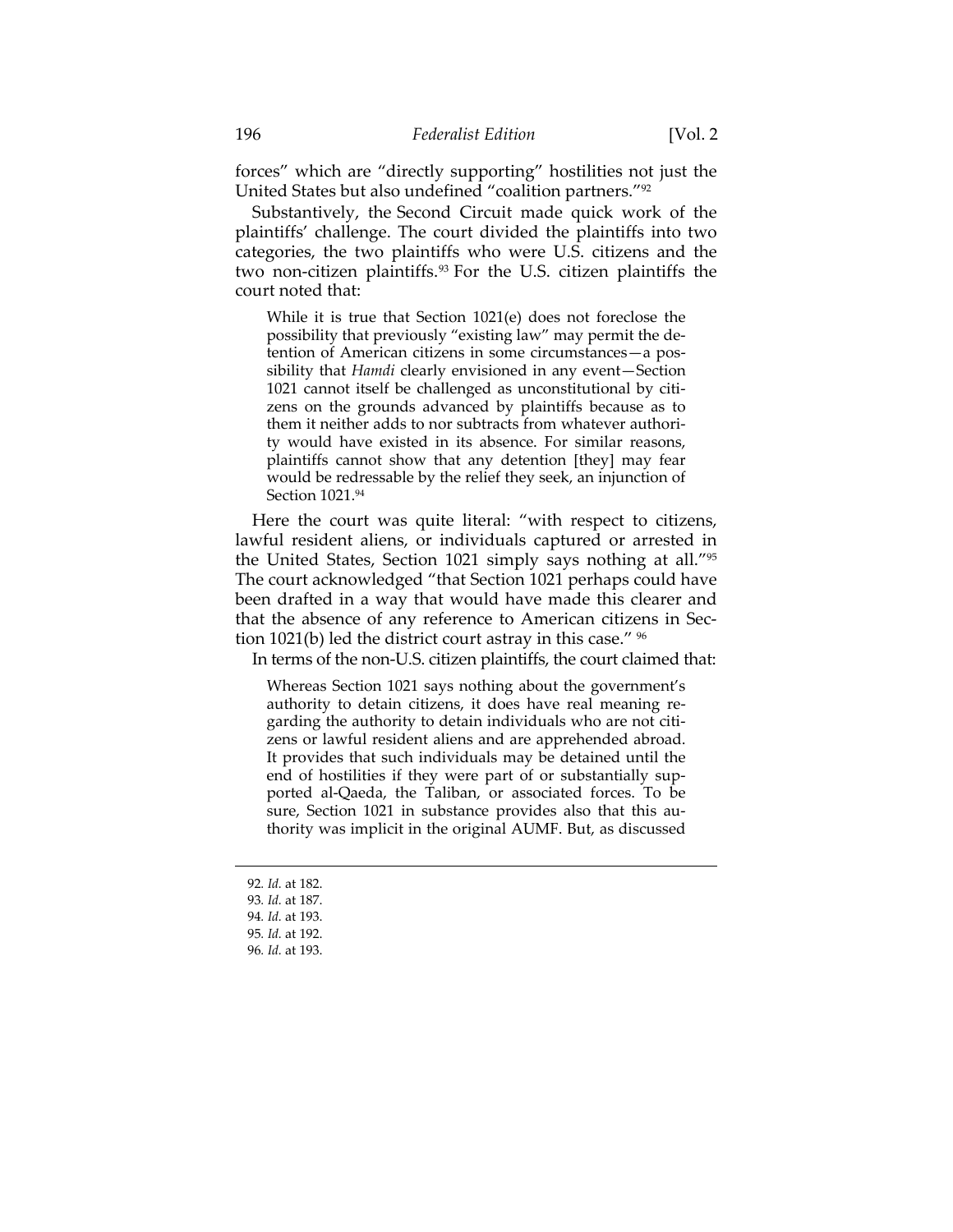forces" which are "directly supporting" hostilities not just the United States but also undefined "coalition partners."92

Substantively, the Second Circuit made quick work of the plaintiffs' challenge. The court divided the plaintiffs into two categories, the two plaintiffs who were U.S. citizens and the two non-citizen plaintiffs.93 For the U.S. citizen plaintiffs the court noted that:

While it is true that Section 1021(e) does not foreclose the possibility that previously "existing law" may permit the detention of American citizens in some circumstances—a possibility that *Hamdi* clearly envisioned in any event—Section 1021 cannot itself be challenged as unconstitutional by citizens on the grounds advanced by plaintiffs because as to them it neither adds to nor subtracts from whatever authority would have existed in its absence. For similar reasons, plaintiffs cannot show that any detention [they] may fear would be redressable by the relief they seek, an injunction of Section 1021.94

Here the court was quite literal: "with respect to citizens, lawful resident aliens, or individuals captured or arrested in the United States, Section 1021 simply says nothing at all."95 The court acknowledged "that Section 1021 perhaps could have been drafted in a way that would have made this clearer and that the absence of any reference to American citizens in Section 1021(b) led the district court astray in this case." 96

In terms of the non-U.S. citizen plaintiffs, the court claimed that:

Whereas Section 1021 says nothing about the government's authority to detain citizens, it does have real meaning regarding the authority to detain individuals who are not citizens or lawful resident aliens and are apprehended abroad. It provides that such individuals may be detained until the end of hostilities if they were part of or substantially supported al-Qaeda, the Taliban, or associated forces. To be sure, Section 1021 in substance provides also that this authority was implicit in the original AUMF. But, as discussed

<sup>92</sup>*. Id.* at 182. 93*. Id.* at 187.

<sup>94</sup>*. Id.* at 193.

<sup>95</sup>*. Id.* at 192.

<sup>96</sup>*. Id.* at 193.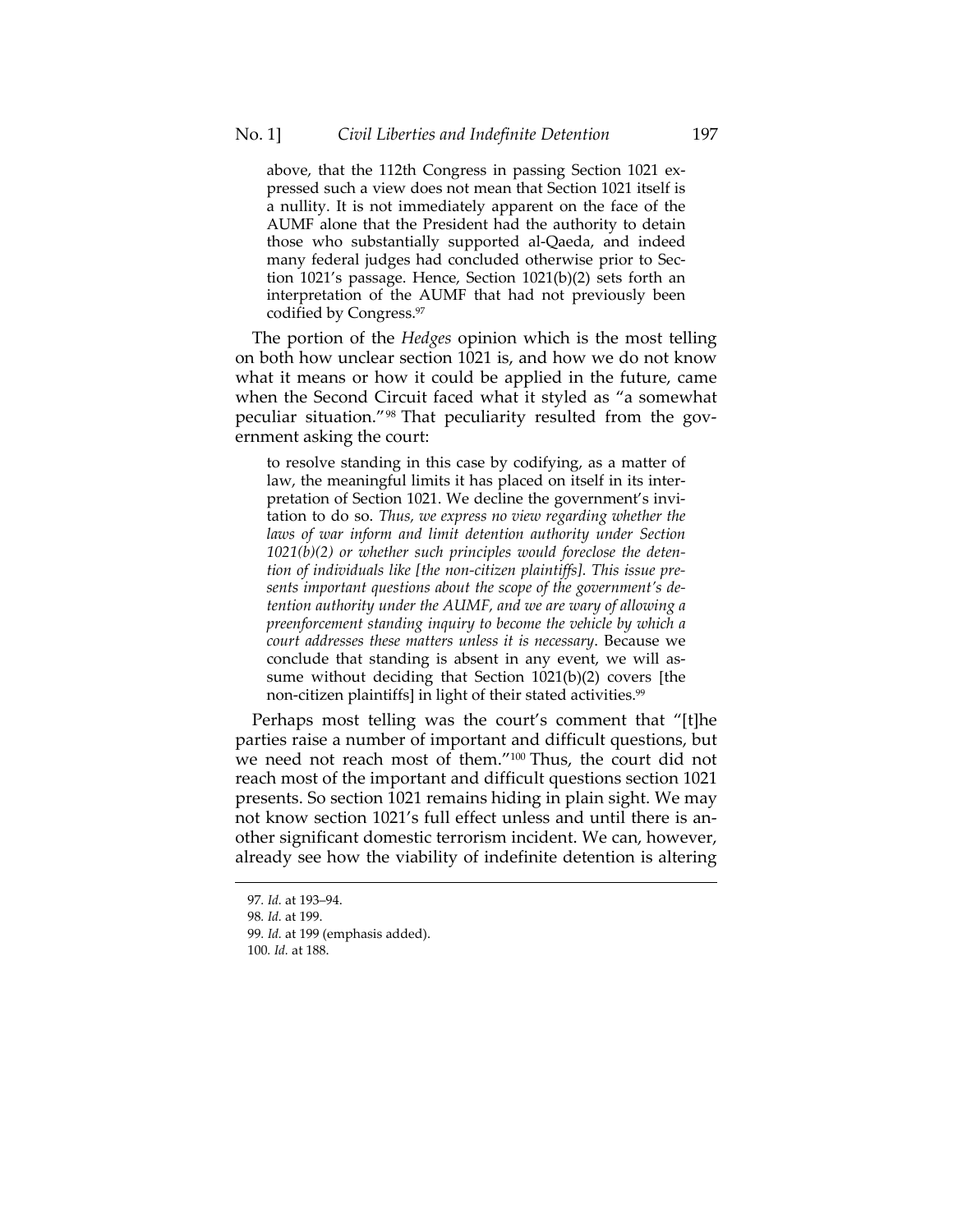above, that the 112th Congress in passing Section 1021 expressed such a view does not mean that Section 1021 itself is a nullity. It is not immediately apparent on the face of the AUMF alone that the President had the authority to detain those who substantially supported al-Qaeda, and indeed many federal judges had concluded otherwise prior to Section 1021's passage. Hence, Section 1021(b)(2) sets forth an interpretation of the AUMF that had not previously been codified by Congress.97

The portion of the *Hedges* opinion which is the most telling on both how unclear section 1021 is, and how we do not know what it means or how it could be applied in the future, came when the Second Circuit faced what it styled as "a somewhat peculiar situation."98 That peculiarity resulted from the government asking the court:

to resolve standing in this case by codifying, as a matter of law, the meaningful limits it has placed on itself in its interpretation of Section 1021. We decline the government's invitation to do so. *Thus, we express no view regarding whether the laws of war inform and limit detention authority under Section 1021(b)(2) or whether such principles would foreclose the detention of individuals like [the non-citizen plaintiffs]. This issue presents important questions about the scope of the government's detention authority under the AUMF, and we are wary of allowing a preenforcement standing inquiry to become the vehicle by which a court addresses these matters unless it is necessary*. Because we conclude that standing is absent in any event, we will assume without deciding that Section 1021(b)(2) covers [the non-citizen plaintiffs] in light of their stated activities.<sup>99</sup>

Perhaps most telling was the court's comment that "[t]he parties raise a number of important and difficult questions, but we need not reach most of them."<sup>100</sup> Thus, the court did not reach most of the important and difficult questions section 1021 presents. So section 1021 remains hiding in plain sight. We may not know section 1021's full effect unless and until there is another significant domestic terrorism incident. We can, however, already see how the viability of indefinite detention is altering

<sup>97</sup>*. Id.* at 193–94.

<sup>98</sup>*. Id.* at 199.

<sup>99</sup>*. Id.* at 199 (emphasis added).

<sup>100</sup>*. Id.* at 188.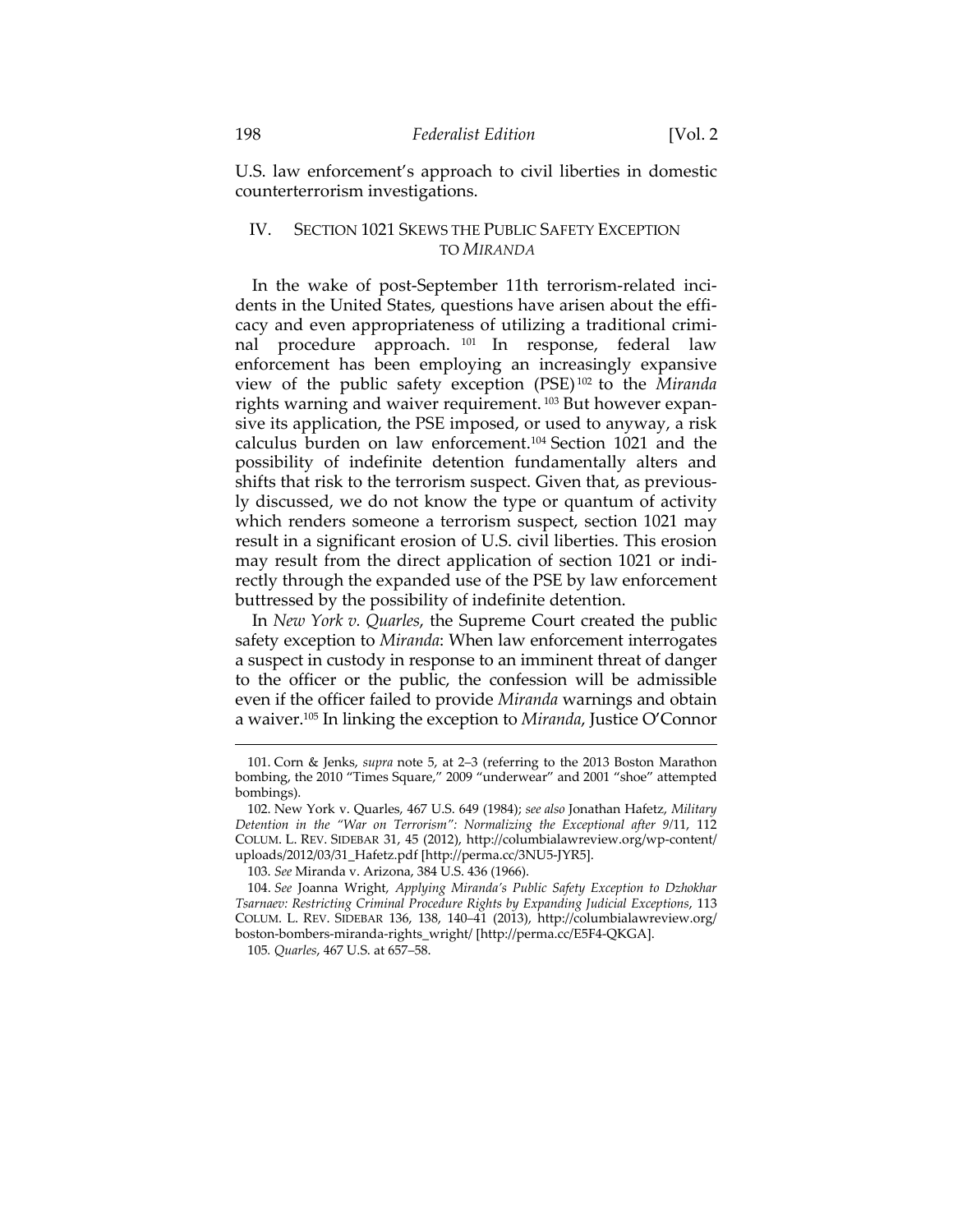U.S. law enforcement's approach to civil liberties in domestic counterterrorism investigations.

# IV. SECTION 1021 SKEWS THE PUBLIC SAFETY EXCEPTION TO *MIRANDA*

In the wake of post-September 11th terrorism-related incidents in the United States, questions have arisen about the efficacy and even appropriateness of utilizing a traditional criminal procedure approach. 101 In response, federal law enforcement has been employing an increasingly expansive view of the public safety exception (PSE) 102 to the *Miranda*  rights warning and waiver requirement. 103 But however expansive its application, the PSE imposed, or used to anyway, a risk calculus burden on law enforcement.104 Section 1021 and the possibility of indefinite detention fundamentally alters and shifts that risk to the terrorism suspect. Given that, as previously discussed, we do not know the type or quantum of activity which renders someone a terrorism suspect, section 1021 may result in a significant erosion of U.S. civil liberties. This erosion may result from the direct application of section 1021 or indirectly through the expanded use of the PSE by law enforcement buttressed by the possibility of indefinite detention.

In *New York v. Quarles*, the Supreme Court created the public safety exception to *Miranda*: When law enforcement interrogates a suspect in custody in response to an imminent threat of danger to the officer or the public, the confession will be admissible even if the officer failed to provide *Miranda* warnings and obtain a waiver.105 In linking the exception to *Miranda*, Justice O'Connor

 <sup>101.</sup> Corn & Jenks, *supra* note 5, at 2–3 (referring to the 2013 Boston Marathon bombing, the 2010 "Times Square," 2009 "underwear" and 2001 "shoe" attempted bombings).

 <sup>102.</sup> New York v. Quarles, 467 U.S. 649 (1984); *see also* Jonathan Hafetz, *Military Detention in the "War on Terrorism": Normalizing the Exceptional after 9/*11, 112 COLUM. L. REV. SIDEBAR 31, 45 (2012), http://columbialawreview.org/wp-content/ uploads/2012/03/31\_Hafetz.pdf [http://perma.cc/3NU5-JYR5].

 <sup>103.</sup> *See* Miranda v. Arizona, 384 U.S. 436 (1966).

 <sup>104.</sup> *See* Joanna Wright, *Applying Miranda's Public Safety Exception to Dzhokhar Tsarnaev: Restricting Criminal Procedure Rights by Expanding Judicial Exceptions*, 113 COLUM. L. REV. SIDEBAR 136, 138, 140–41 (2013), http://columbialawreview.org/ boston-bombers-miranda-rights\_wright/ [http://perma.cc/E5F4-QKGA].

<sup>105</sup>*. Quarles*, 467 U.S. at 657–58.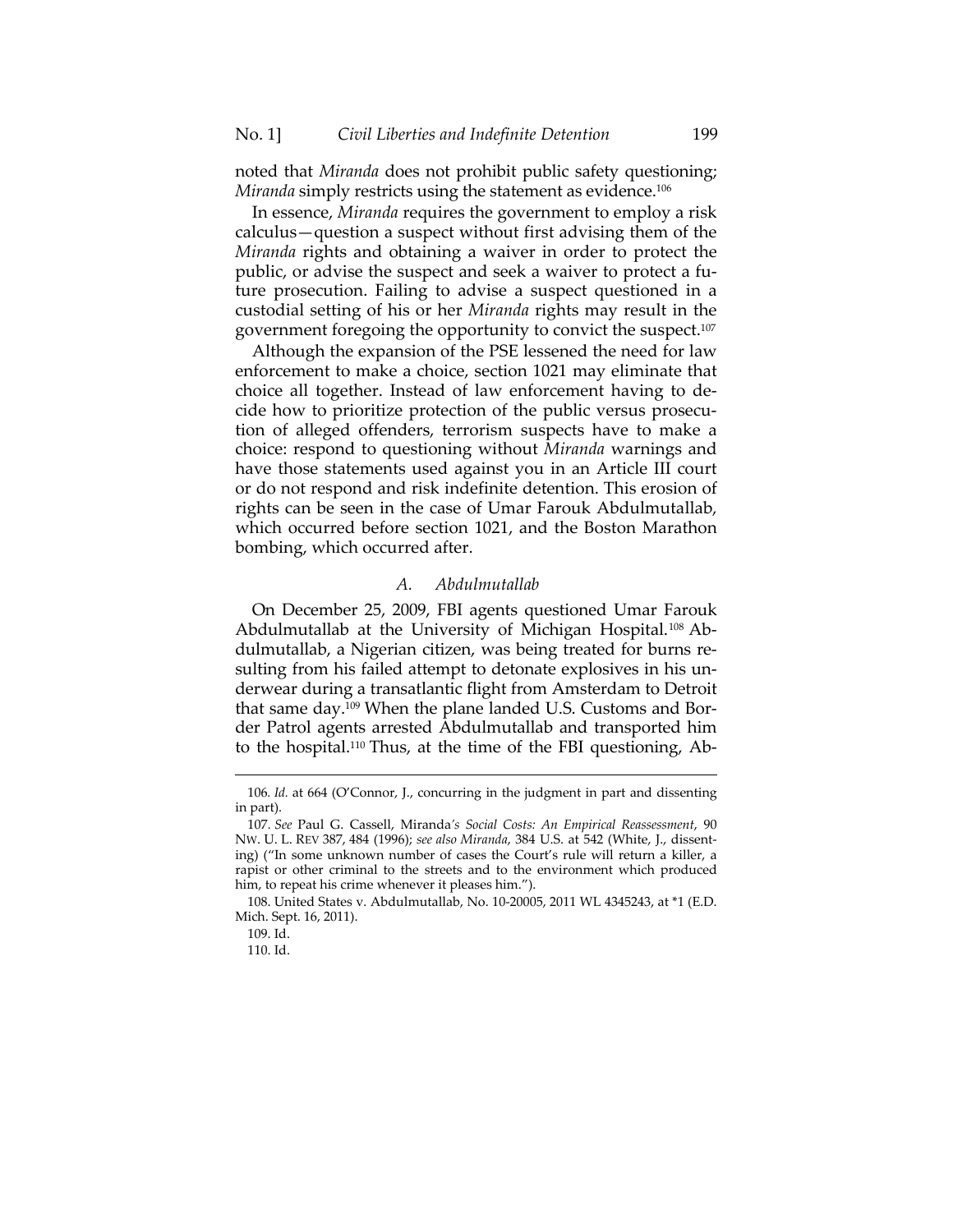noted that *Miranda* does not prohibit public safety questioning; *Miranda* simply restricts using the statement as evidence.106

In essence, *Miranda* requires the government to employ a risk calculus—question a suspect without first advising them of the *Miranda* rights and obtaining a waiver in order to protect the public, or advise the suspect and seek a waiver to protect a future prosecution. Failing to advise a suspect questioned in a custodial setting of his or her *Miranda* rights may result in the government foregoing the opportunity to convict the suspect.107

Although the expansion of the PSE lessened the need for law enforcement to make a choice, section 1021 may eliminate that choice all together. Instead of law enforcement having to decide how to prioritize protection of the public versus prosecution of alleged offenders, terrorism suspects have to make a choice: respond to questioning without *Miranda* warnings and have those statements used against you in an Article III court or do not respond and risk indefinite detention. This erosion of rights can be seen in the case of Umar Farouk Abdulmutallab, which occurred before section 1021, and the Boston Marathon bombing, which occurred after.

## *A. Abdulmutallab*

On December 25, 2009, FBI agents questioned Umar Farouk Abdulmutallab at the University of Michigan Hospital.<sup>108</sup> Abdulmutallab, a Nigerian citizen, was being treated for burns resulting from his failed attempt to detonate explosives in his underwear during a transatlantic flight from Amsterdam to Detroit that same day.109 When the plane landed U.S. Customs and Border Patrol agents arrested Abdulmutallab and transported him to the hospital.110 Thus, at the time of the FBI questioning, Ab-

 106*. Id.* at 664 (O'Connor, J., concurring in the judgment in part and dissenting in part).

<sup>107</sup>*. See* Paul G. Cassell, Miranda*'s Social Costs: An Empirical Reassessment*, 90 NW. U. L. REV 387, 484 (1996); *see also Miranda*, 384 U.S. at 542 (White, J., dissenting) ("In some unknown number of cases the Court's rule will return a killer, a rapist or other criminal to the streets and to the environment which produced him, to repeat his crime whenever it pleases him.").

 <sup>108.</sup> United States v. Abdulmutallab, No. 10-20005, 2011 WL 4345243, at \*1 (E.D. Mich. Sept. 16, 2011).

 <sup>109.</sup> Id.

 <sup>110.</sup> Id.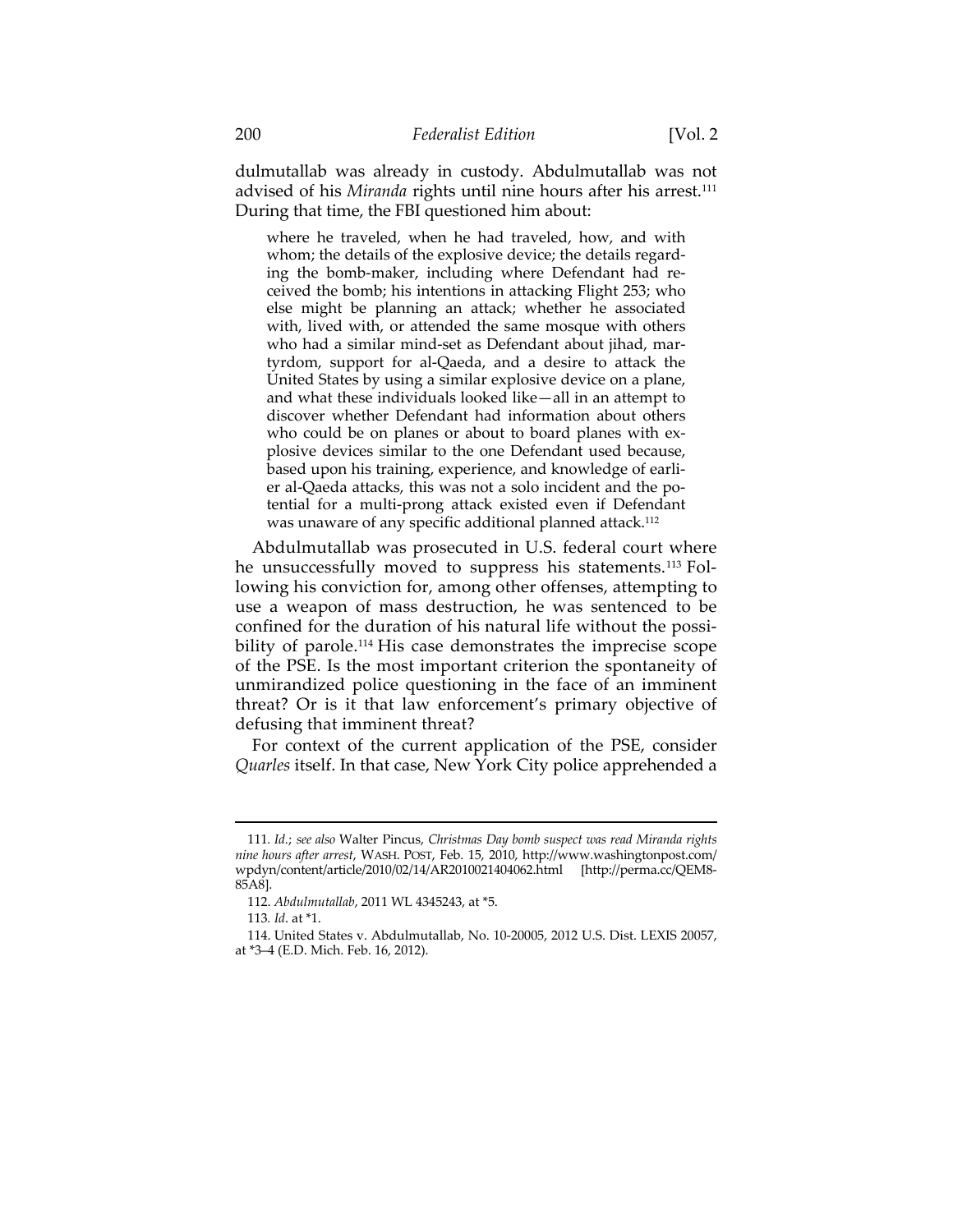dulmutallab was already in custody. Abdulmutallab was not advised of his *Miranda* rights until nine hours after his arrest.<sup>111</sup> During that time, the FBI questioned him about:

where he traveled, when he had traveled, how, and with whom; the details of the explosive device; the details regarding the bomb-maker, including where Defendant had received the bomb; his intentions in attacking Flight 253; who else might be planning an attack; whether he associated with, lived with, or attended the same mosque with others who had a similar mind-set as Defendant about jihad, martyrdom, support for al-Qaeda, and a desire to attack the United States by using a similar explosive device on a plane, and what these individuals looked like—all in an attempt to discover whether Defendant had information about others who could be on planes or about to board planes with explosive devices similar to the one Defendant used because, based upon his training, experience, and knowledge of earlier al-Qaeda attacks, this was not a solo incident and the potential for a multi-prong attack existed even if Defendant was unaware of any specific additional planned attack.112

Abdulmutallab was prosecuted in U.S. federal court where he unsuccessfully moved to suppress his statements.113 Following his conviction for, among other offenses, attempting to use a weapon of mass destruction, he was sentenced to be confined for the duration of his natural life without the possibility of parole.<sup>114</sup> His case demonstrates the imprecise scope of the PSE. Is the most important criterion the spontaneity of unmirandized police questioning in the face of an imminent threat? Or is it that law enforcement's primary objective of defusing that imminent threat?

For context of the current application of the PSE, consider *Quarles* itself. In that case, New York City police apprehended a

<sup>111</sup>*. Id.*; *see also* Walter Pincus, *Christmas Day bomb suspect was read Miranda rights nine hours after arrest*, WASH. POST, Feb. 15, 2010, http://www.washingtonpost.com/ wpdyn/content/article/2010/02/14/AR2010021404062.html [http://perma.cc/QEM8- 85A8].

 <sup>112.</sup> *Abdulmutallab*, 2011 WL 4345243, at \*5.

<sup>113</sup>*. Id*. at \*1.

 <sup>114.</sup> United States v. Abdulmutallab, No. 10-20005, 2012 U.S. Dist. LEXIS 20057, at \*3–4 (E.D. Mich. Feb. 16, 2012).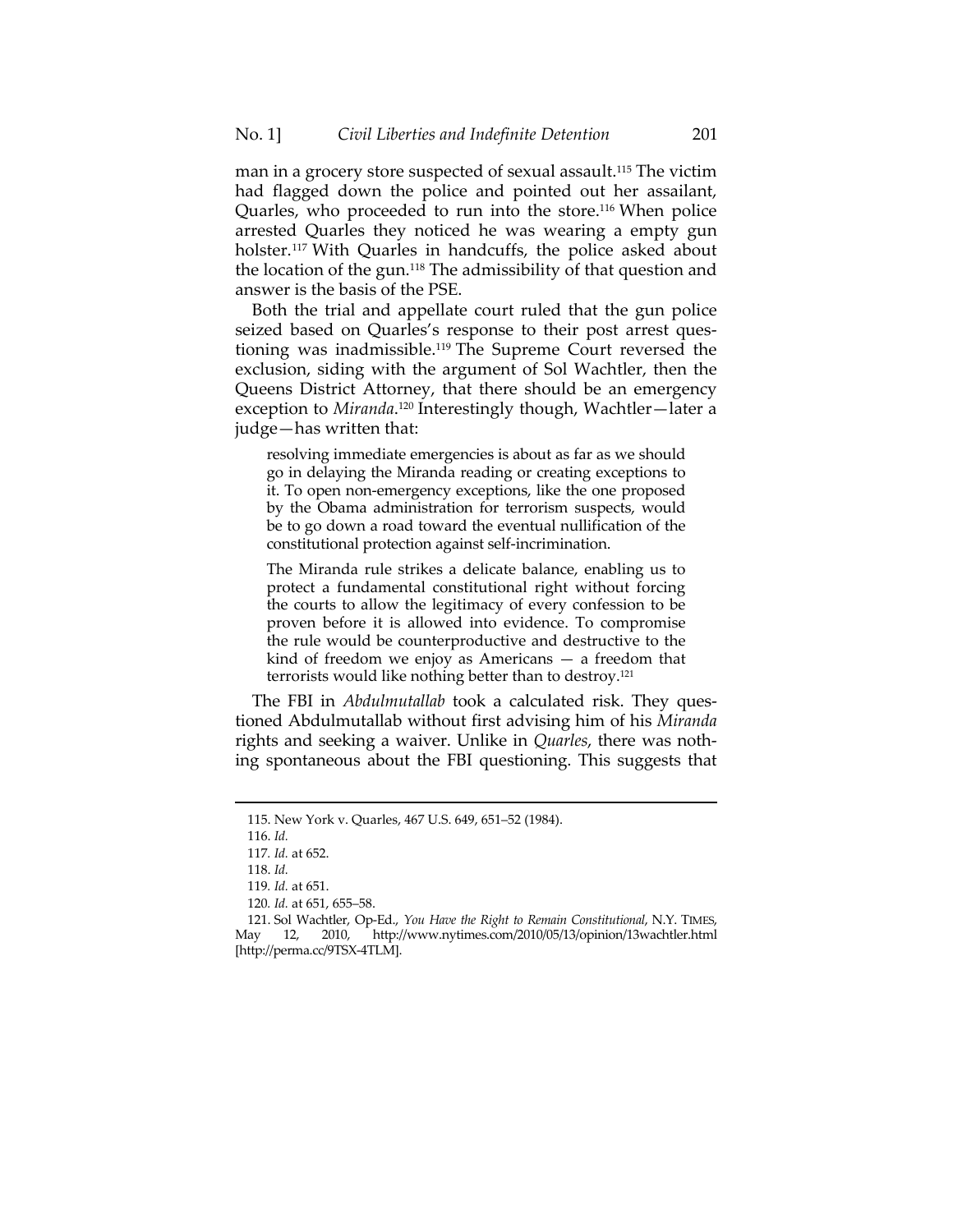man in a grocery store suspected of sexual assault.<sup>115</sup> The victim had flagged down the police and pointed out her assailant, Quarles, who proceeded to run into the store.116 When police arrested Quarles they noticed he was wearing a empty gun holster.<sup>117</sup> With Quarles in handcuffs, the police asked about the location of the gun.118 The admissibility of that question and answer is the basis of the PSE.

Both the trial and appellate court ruled that the gun police seized based on Quarles's response to their post arrest questioning was inadmissible.119 The Supreme Court reversed the exclusion, siding with the argument of Sol Wachtler, then the Queens District Attorney, that there should be an emergency exception to *Miranda*. 120 Interestingly though, Wachtler—later a judge—has written that:

resolving immediate emergencies is about as far as we should go in delaying the Miranda reading or creating exceptions to it. To open non-emergency exceptions, like the one proposed by the Obama administration for terrorism suspects, would be to go down a road toward the eventual nullification of the constitutional protection against self-incrimination.

The Miranda rule strikes a delicate balance, enabling us to protect a fundamental constitutional right without forcing the courts to allow the legitimacy of every confession to be proven before it is allowed into evidence. To compromise the rule would be counterproductive and destructive to the kind of freedom we enjoy as Americans  $-$  a freedom that terrorists would like nothing better than to destroy.121

The FBI in *Abdulmutallab* took a calculated risk. They questioned Abdulmutallab without first advising him of his *Miranda* rights and seeking a waiver. Unlike in *Quarles*, there was nothing spontaneous about the FBI questioning. This suggests that

<u> 1989 - Andrea San Aonaichte ann an Cathracha ann an t-Èireann an t-Èireann an t-Èireann an t-Èireann an t-Èir</u>

 <sup>115.</sup> New York v. Quarles, 467 U.S. 649, 651–52 (1984).

 <sup>116.</sup> *Id.*

<sup>117</sup>*. Id.* at 652.

 <sup>118.</sup> *Id.*

<sup>119</sup>*. Id.* at 651.

<sup>120</sup>*. Id.* at 651, 655–58.

 <sup>121.</sup> Sol Wachtler, Op-Ed., *You Have the Right to Remain Constitutional*, N.Y. TIMES, May 12, 2010, http://www.nytimes.com/2010/05/13/opinion/13wachtler.html [http://perma.cc/9TSX-4TLM].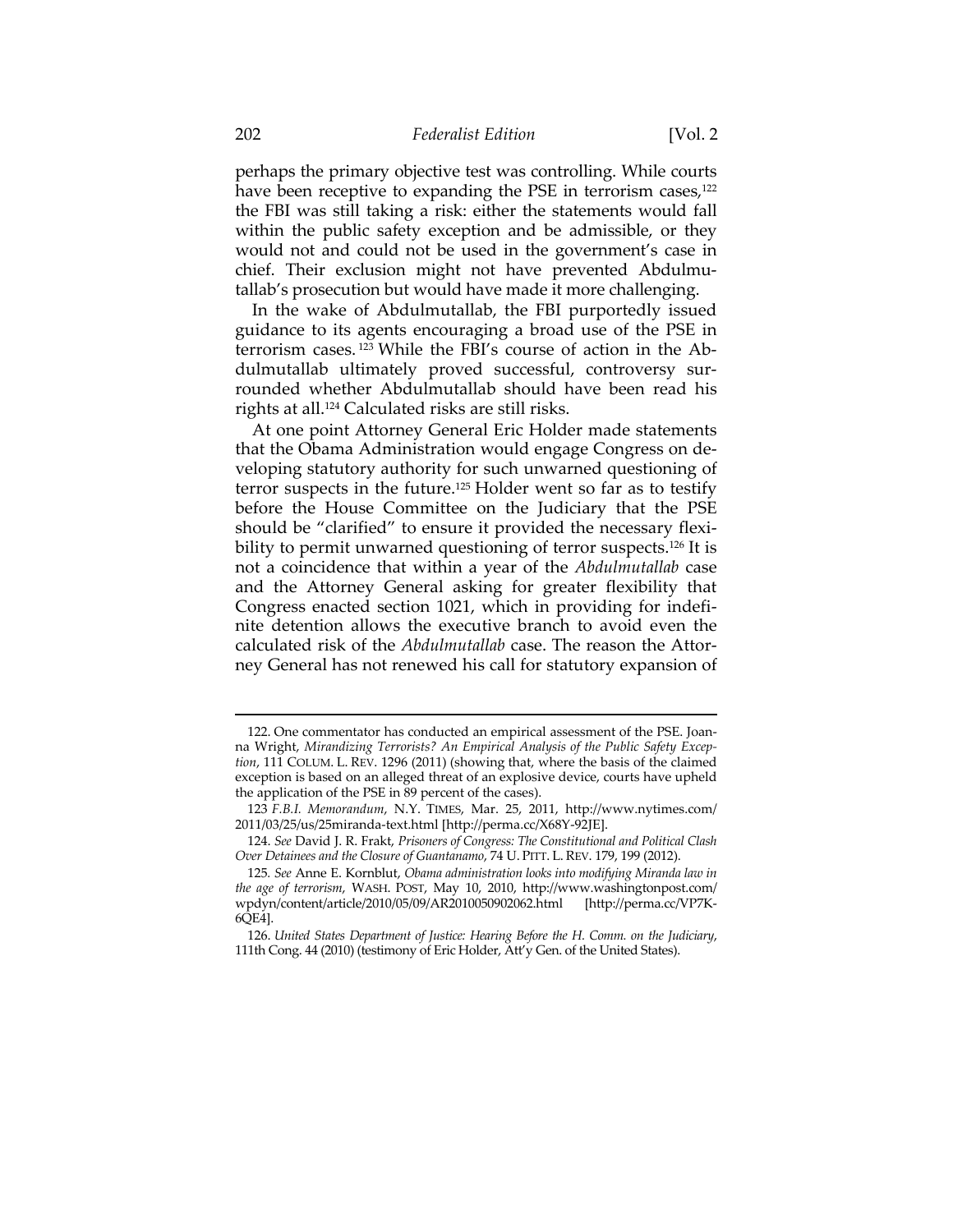perhaps the primary objective test was controlling. While courts have been receptive to expanding the PSE in terrorism cases, $122$ the FBI was still taking a risk: either the statements would fall within the public safety exception and be admissible, or they would not and could not be used in the government's case in chief. Their exclusion might not have prevented Abdulmutallab's prosecution but would have made it more challenging.

In the wake of Abdulmutallab, the FBI purportedly issued guidance to its agents encouraging a broad use of the PSE in terrorism cases. 123 While the FBI's course of action in the Abdulmutallab ultimately proved successful, controversy surrounded whether Abdulmutallab should have been read his rights at all.124 Calculated risks are still risks.

At one point Attorney General Eric Holder made statements that the Obama Administration would engage Congress on developing statutory authority for such unwarned questioning of terror suspects in the future.125 Holder went so far as to testify before the House Committee on the Judiciary that the PSE should be "clarified" to ensure it provided the necessary flexibility to permit unwarned questioning of terror suspects.<sup>126</sup> It is not a coincidence that within a year of the *Abdulmutallab* case and the Attorney General asking for greater flexibility that Congress enacted section 1021, which in providing for indefinite detention allows the executive branch to avoid even the calculated risk of the *Abdulmutallab* case. The reason the Attorney General has not renewed his call for statutory expansion of

 <sup>122.</sup> One commentator has conducted an empirical assessment of the PSE. Joanna Wright, *Mirandizing Terrorists? An Empirical Analysis of the Public Safety Exception*, 111 COLUM. L. REV. 1296 (2011) (showing that, where the basis of the claimed exception is based on an alleged threat of an explosive device, courts have upheld the application of the PSE in 89 percent of the cases).

<sup>123</sup> *F.B.I. Memorandum*, N.Y. TIMES, Mar. 25, 2011, http://www.nytimes.com/ 2011/03/25/us/25miranda-text.html [http://perma.cc/X68Y-92JE].

 <sup>124.</sup> *See* David J. R. Frakt, *Prisoners of Congress: The Constitutional and Political Clash Over Detainees and the Closure of Guantanamo*, 74 U. PITT. L. REV. 179, 199 (2012).

<sup>125</sup>*. See* Anne E. Kornblut, *Obama administration looks into modifying Miranda law in the age of terrorism*, WASH. POST, May 10, 2010, http://www.washingtonpost.com/ wpdyn/content/article/2010/05/09/AR2010050902062.html [http://perma.cc/VP7K-6QE4].

 <sup>126.</sup> *United States Department of Justice: Hearing Before the H. Comm. on the Judiciary*, 111th Cong. 44 (2010) (testimony of Eric Holder, Att'y Gen. of the United States).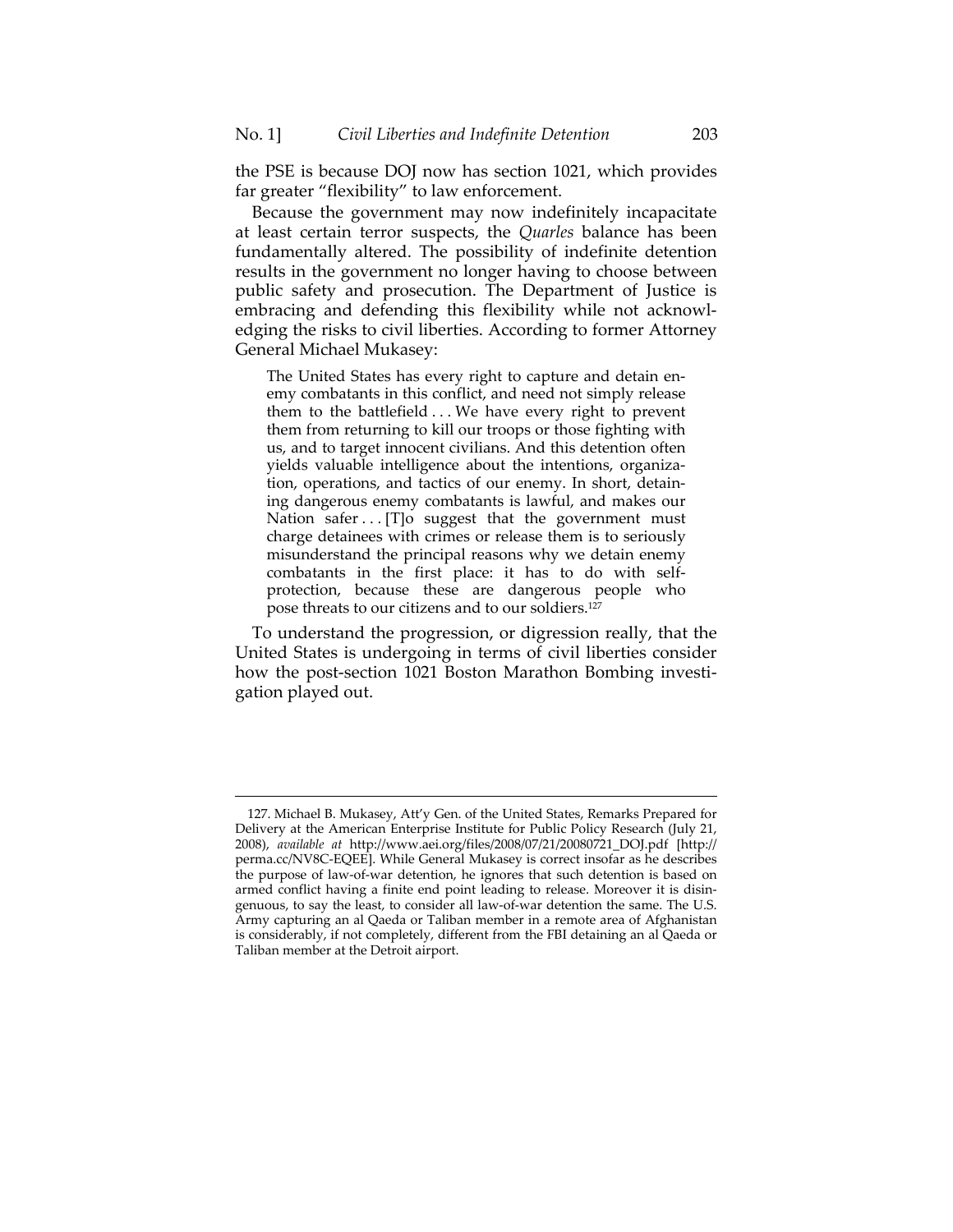the PSE is because DOJ now has section 1021, which provides far greater "flexibility" to law enforcement.

Because the government may now indefinitely incapacitate at least certain terror suspects, the *Quarles* balance has been fundamentally altered. The possibility of indefinite detention results in the government no longer having to choose between public safety and prosecution. The Department of Justice is embracing and defending this flexibility while not acknowledging the risks to civil liberties. According to former Attorney General Michael Mukasey:

The United States has every right to capture and detain enemy combatants in this conflict, and need not simply release them to the battlefield . . . We have every right to prevent them from returning to kill our troops or those fighting with us, and to target innocent civilians. And this detention often yields valuable intelligence about the intentions, organization, operations, and tactics of our enemy. In short, detaining dangerous enemy combatants is lawful, and makes our Nation safer . . . [T]o suggest that the government must charge detainees with crimes or release them is to seriously misunderstand the principal reasons why we detain enemy combatants in the first place: it has to do with selfprotection, because these are dangerous people who pose threats to our citizens and to our soldiers.127

To understand the progression, or digression really, that the United States is undergoing in terms of civil liberties consider how the post-section 1021 Boston Marathon Bombing investigation played out.

 <sup>127.</sup> Michael B. Mukasey, Att'y Gen. of the United States, Remarks Prepared for Delivery at the American Enterprise Institute for Public Policy Research (July 21, 2008), *available at* http://www.aei.org/files/2008/07/21/20080721\_DOJ.pdf [http:// perma.cc/NV8C-EQEE]. While General Mukasey is correct insofar as he describes the purpose of law-of-war detention, he ignores that such detention is based on armed conflict having a finite end point leading to release. Moreover it is disingenuous, to say the least, to consider all law-of-war detention the same. The U.S. Army capturing an al Qaeda or Taliban member in a remote area of Afghanistan is considerably, if not completely, different from the FBI detaining an al Qaeda or Taliban member at the Detroit airport.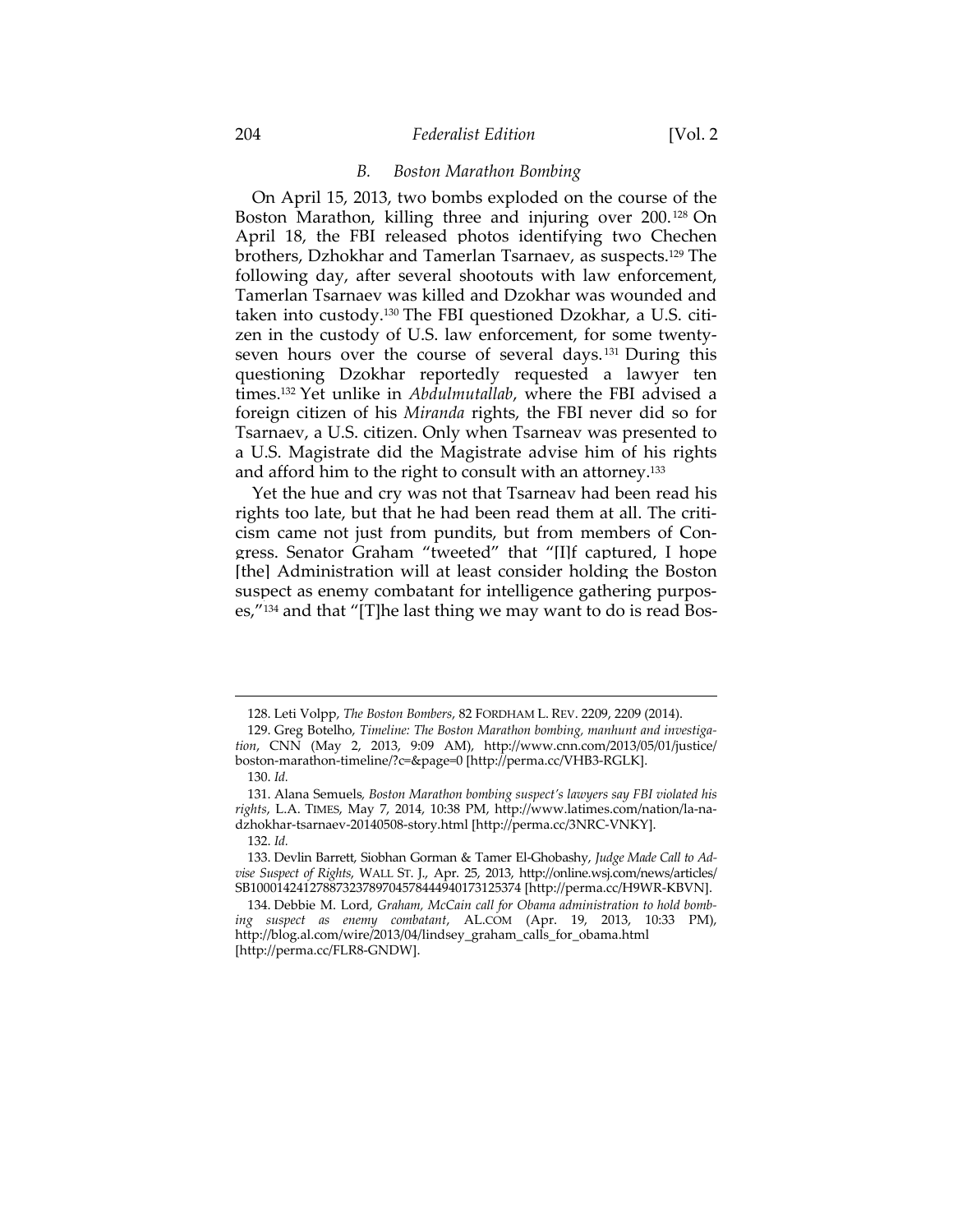#### 204 *Federalist Edition* [Vol. 2

## *B. Boston Marathon Bombing*

On April 15, 2013, two bombs exploded on the course of the Boston Marathon, killing three and injuring over 200.<sup>128</sup> On April 18, the FBI released photos identifying two Chechen brothers, Dzhokhar and Tamerlan Tsarnaev, as suspects.129 The following day, after several shootouts with law enforcement, Tamerlan Tsarnaev was killed and Dzokhar was wounded and taken into custody.130 The FBI questioned Dzokhar, a U.S. citizen in the custody of U.S. law enforcement, for some twentyseven hours over the course of several days.<sup>131</sup> During this questioning Dzokhar reportedly requested a lawyer ten times.132 Yet unlike in *Abdulmutallab*, where the FBI advised a foreign citizen of his *Miranda* rights, the FBI never did so for Tsarnaev, a U.S. citizen. Only when Tsarneav was presented to a U.S. Magistrate did the Magistrate advise him of his rights and afford him to the right to consult with an attorney.<sup>133</sup>

Yet the hue and cry was not that Tsarneav had been read his rights too late, but that he had been read them at all. The criticism came not just from pundits, but from members of Congress. Senator Graham "tweeted" that "[I]f captured, I hope [the] Administration will at least consider holding the Boston suspect as enemy combatant for intelligence gathering purposes,"134 and that "[T]he last thing we may want to do is read Bos-

<u> 1989 - Andrea San Aonaichte ann an Cathracha ann an t-Èireann an t-Èireann an t-Èireann an t-Èireann an t-Èir</u>

 <sup>128.</sup> Leti Volpp, *The Boston Bombers*, 82 FORDHAM L. REV. 2209, 2209 (2014).

 <sup>129.</sup> Greg Botelho, *Timeline: The Boston Marathon bombing, manhunt and investigation*, CNN (May 2, 2013, 9:09 AM), http://www.cnn.com/2013/05/01/justice/ boston-marathon-timeline/?c=&page=0 [http://perma.cc/VHB3-RGLK].

 <sup>130.</sup> *Id.*

 <sup>131.</sup> Alana Semuels*, Boston Marathon bombing suspect's lawyers say FBI violated his rights*, L.A. TIMES, May 7, 2014, 10:38 PM, http://www.latimes.com/nation/la-nadzhokhar-tsarnaev-20140508-story.html [http://perma.cc/3NRC-VNKY].

 <sup>132.</sup> *Id.*

 <sup>133.</sup> Devlin Barrett, Siobhan Gorman & Tamer El-Ghobashy, *Judge Made Call to Advise Suspect of Rights*, WALL ST. J., Apr. 25, 2013, http://online.wsj.com/news/articles/ SB10001424127887323789704578444940173125374 [http://perma.cc/H9WR-KBVN].

 <sup>134.</sup> Debbie M. Lord, *Graham, McCain call for Obama administration to hold bombing suspect as enemy combatant*, AL.COM (Apr. 19, 2013, 10:33 PM), http://blog.al.com/wire/2013/04/lindsey\_graham\_calls\_for\_obama.html [http://perma.cc/FLR8-GNDW].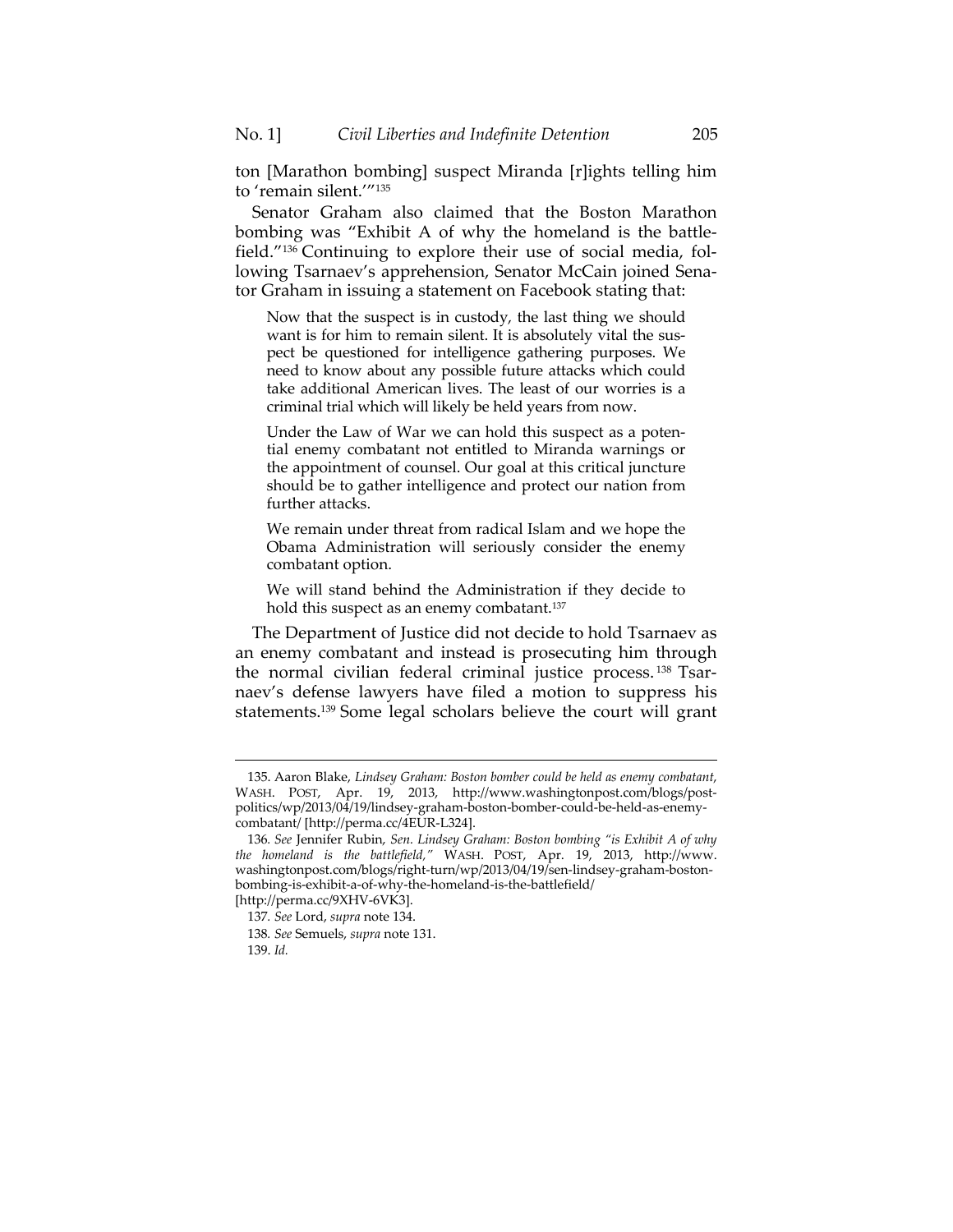ton [Marathon bombing] suspect Miranda [r]ights telling him to 'remain silent.'"135

Senator Graham also claimed that the Boston Marathon bombing was "Exhibit A of why the homeland is the battlefield."136 Continuing to explore their use of social media, following Tsarnaev's apprehension, Senator McCain joined Senator Graham in issuing a statement on Facebook stating that:

Now that the suspect is in custody, the last thing we should want is for him to remain silent. It is absolutely vital the suspect be questioned for intelligence gathering purposes. We need to know about any possible future attacks which could take additional American lives. The least of our worries is a criminal trial which will likely be held years from now.

Under the Law of War we can hold this suspect as a potential enemy combatant not entitled to Miranda warnings or the appointment of counsel. Our goal at this critical juncture should be to gather intelligence and protect our nation from further attacks.

We remain under threat from radical Islam and we hope the Obama Administration will seriously consider the enemy combatant option.

We will stand behind the Administration if they decide to hold this suspect as an enemy combatant.<sup>137</sup>

The Department of Justice did not decide to hold Tsarnaev as an enemy combatant and instead is prosecuting him through the normal civilian federal criminal justice process.<sup>138</sup> Tsarnaev's defense lawyers have filed a motion to suppress his statements.139 Some legal scholars believe the court will grant

 <sup>135.</sup> Aaron Blake, *Lindsey Graham: Boston bomber could be held as enemy combatant*, WASH. POST, Apr. 19, 2013, http://www.washingtonpost.com/blogs/postpolitics/wp/2013/04/19/lindsey-graham-boston-bomber-could-be-held-as-enemycombatant/ [http://perma.cc/4EUR-L324].

<sup>136</sup>*. See* Jennifer Rubin, *Sen. Lindsey Graham: Boston bombing "is Exhibit A of why the homeland is the battlefield,"* WASH. POST, Apr. 19, 2013, http://www. washingtonpost.com/blogs/right-turn/wp/2013/04/19/sen-lindsey-graham-bostonbombing-is-exhibit-a-of-why-the-homeland-is-the-battlefield/

<sup>[</sup>http://perma.cc/9XHV-6VK3]. 137*. See* Lord, *supra* note 134.

<sup>138</sup>*. See* Semuels, *supra* note 131.

 <sup>139.</sup> *Id.*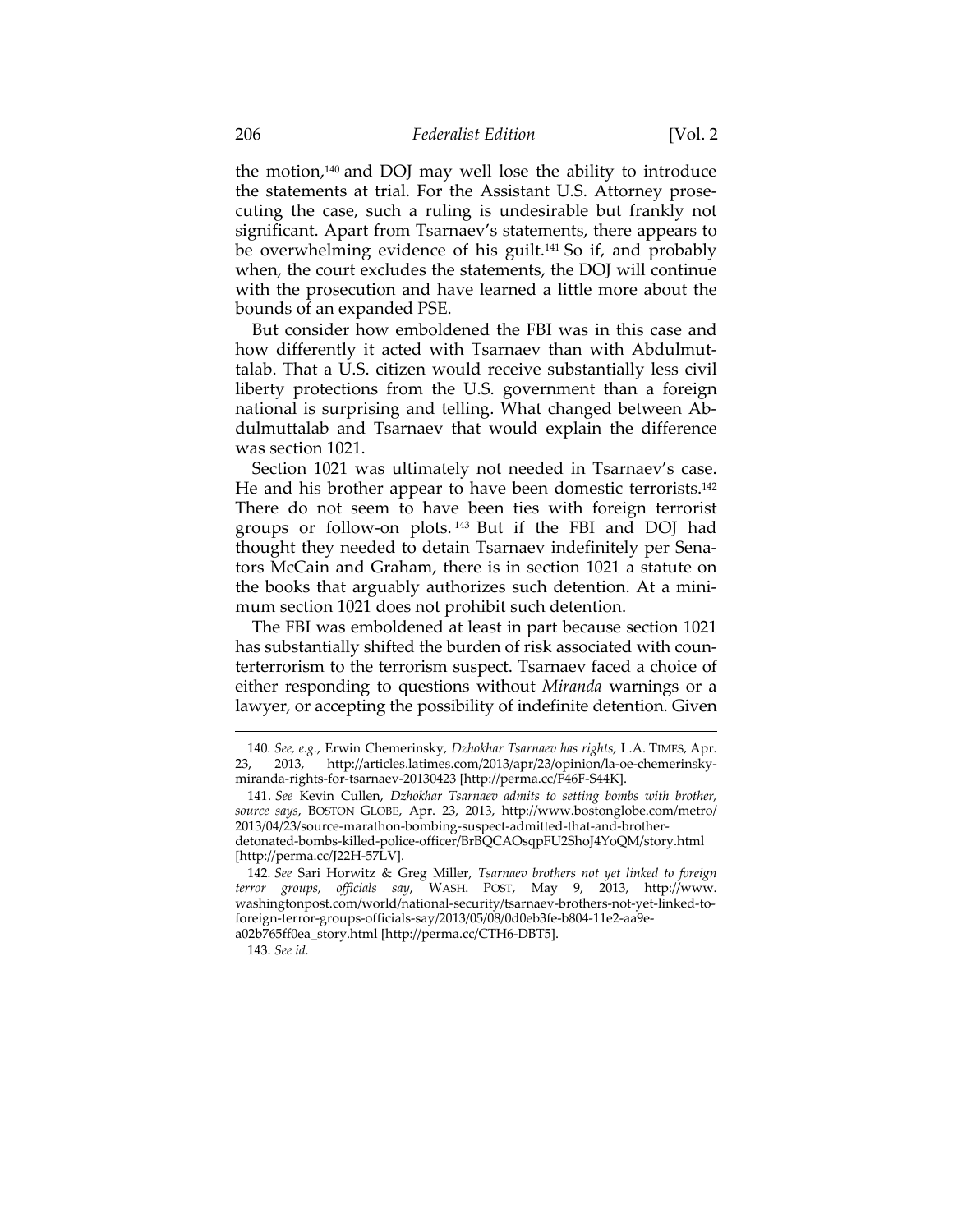the motion,140 and DOJ may well lose the ability to introduce the statements at trial. For the Assistant U.S. Attorney prosecuting the case, such a ruling is undesirable but frankly not significant. Apart from Tsarnaev's statements, there appears to be overwhelming evidence of his guilt.141 So if, and probably when, the court excludes the statements, the DOJ will continue with the prosecution and have learned a little more about the bounds of an expanded PSE.

But consider how emboldened the FBI was in this case and how differently it acted with Tsarnaev than with Abdulmuttalab. That a U.S. citizen would receive substantially less civil liberty protections from the U.S. government than a foreign national is surprising and telling. What changed between Abdulmuttalab and Tsarnaev that would explain the difference was section 1021.

Section 1021 was ultimately not needed in Tsarnaev's case. He and his brother appear to have been domestic terrorists.142 There do not seem to have been ties with foreign terrorist groups or follow-on plots. 143 But if the FBI and DOJ had thought they needed to detain Tsarnaev indefinitely per Senators McCain and Graham, there is in section 1021 a statute on the books that arguably authorizes such detention. At a minimum section 1021 does not prohibit such detention.

The FBI was emboldened at least in part because section 1021 has substantially shifted the burden of risk associated with counterterrorism to the terrorism suspect. Tsarnaev faced a choice of either responding to questions without *Miranda* warnings or a lawyer, or accepting the possibility of indefinite detention. Given

<u> 1989 - Andrea San Aonaichte ann an Cathracha ann an t-Èireann an t-Èireann an t-Èireann an t-Èireann an t-Èir</u>

<sup>140</sup>*. See, e.g.*, Erwin Chemerinsky, *Dzhokhar Tsarnaev has rights*, L.A. TIMES, Apr. 23, 2013, http://articles.latimes.com/2013/apr/23/opinion/la-oe-chemerinskymiranda-rights-for-tsarnaev-20130423 [http://perma.cc/F46F-S44K].

<sup>141</sup>*. See* Kevin Cullen, *Dzhokhar Tsarnaev admits to setting bombs with brother, source says*, BOSTON GLOBE, Apr. 23, 2013, http://www.bostonglobe.com/metro/ 2013/04/23/source-marathon-bombing-suspect-admitted-that-and-brotherdetonated-bombs-killed-police-officer/BrBQCAOsqpFU2ShoJ4YoQM/story.html [http://perma.cc/J22H-57LV].

<sup>142</sup>*. See* Sari Horwitz & Greg Miller, *Tsarnaev brothers not yet linked to foreign terror groups, officials say*, WASH. POST, May 9, 2013, http://www. washingtonpost.com/world/national-security/tsarnaev-brothers-not-yet-linked-toforeign-terror-groups-officials-say/2013/05/08/0d0eb3fe-b804-11e2-aa9ea02b765ff0ea\_story.html [http://perma.cc/CTH6-DBT5].

 <sup>143.</sup> *See id.*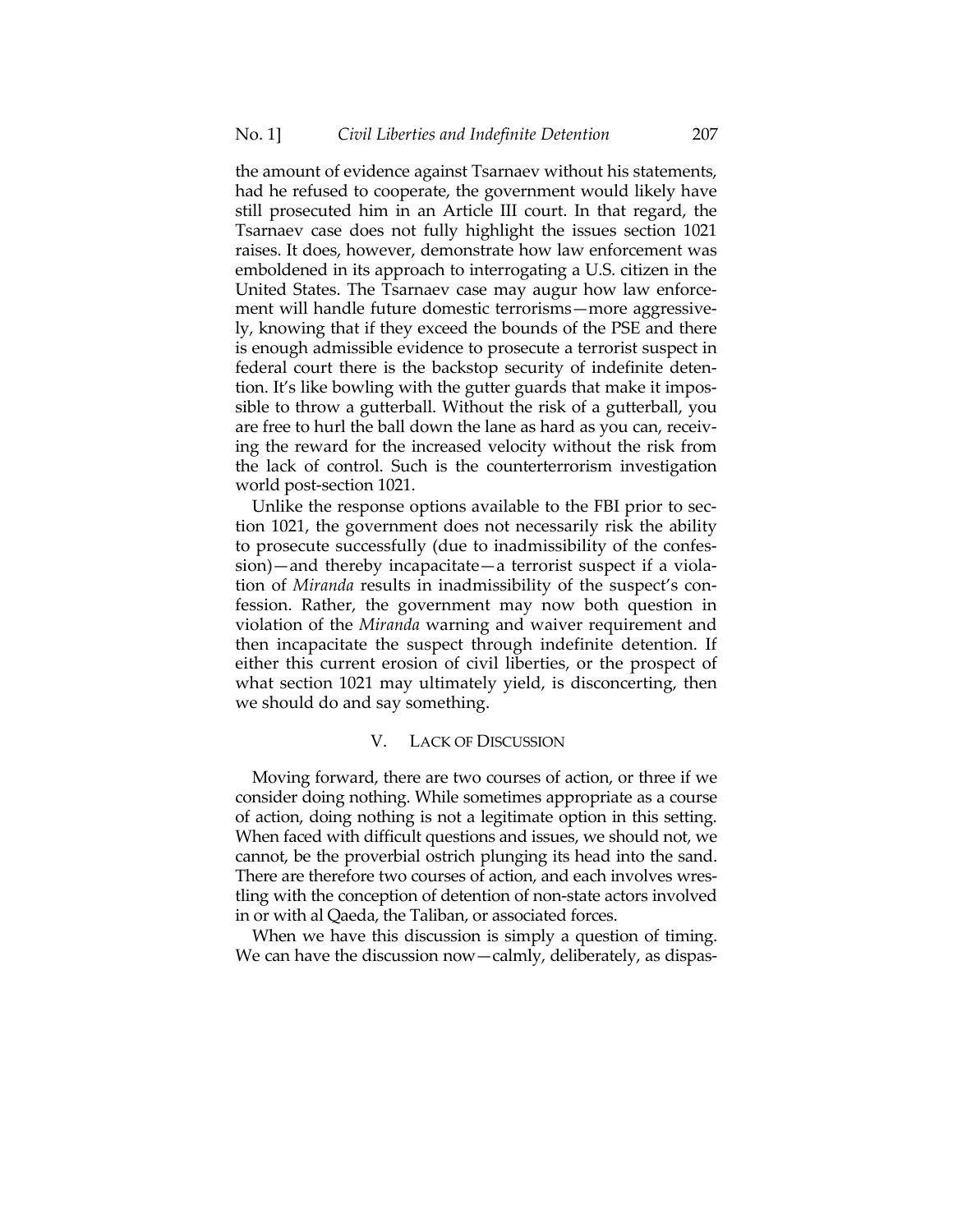the amount of evidence against Tsarnaev without his statements, had he refused to cooperate, the government would likely have still prosecuted him in an Article III court. In that regard, the Tsarnaev case does not fully highlight the issues section 1021 raises. It does, however, demonstrate how law enforcement was emboldened in its approach to interrogating a U.S. citizen in the United States. The Tsarnaev case may augur how law enforcement will handle future domestic terrorisms—more aggressively, knowing that if they exceed the bounds of the PSE and there is enough admissible evidence to prosecute a terrorist suspect in federal court there is the backstop security of indefinite detention. It's like bowling with the gutter guards that make it impossible to throw a gutterball. Without the risk of a gutterball, you are free to hurl the ball down the lane as hard as you can, receiving the reward for the increased velocity without the risk from the lack of control. Such is the counterterrorism investigation world post-section 1021.

Unlike the response options available to the FBI prior to section 1021, the government does not necessarily risk the ability to prosecute successfully (due to inadmissibility of the confession)—and thereby incapacitate—a terrorist suspect if a violation of *Miranda* results in inadmissibility of the suspect's confession. Rather, the government may now both question in violation of the *Miranda* warning and waiver requirement and then incapacitate the suspect through indefinite detention. If either this current erosion of civil liberties, or the prospect of what section 1021 may ultimately yield, is disconcerting, then we should do and say something.

## V. LACK OF DISCUSSION

Moving forward, there are two courses of action, or three if we consider doing nothing. While sometimes appropriate as a course of action, doing nothing is not a legitimate option in this setting. When faced with difficult questions and issues, we should not, we cannot, be the proverbial ostrich plunging its head into the sand. There are therefore two courses of action, and each involves wrestling with the conception of detention of non-state actors involved in or with al Qaeda, the Taliban, or associated forces.

When we have this discussion is simply a question of timing. We can have the discussion now - calmly, deliberately, as dispas